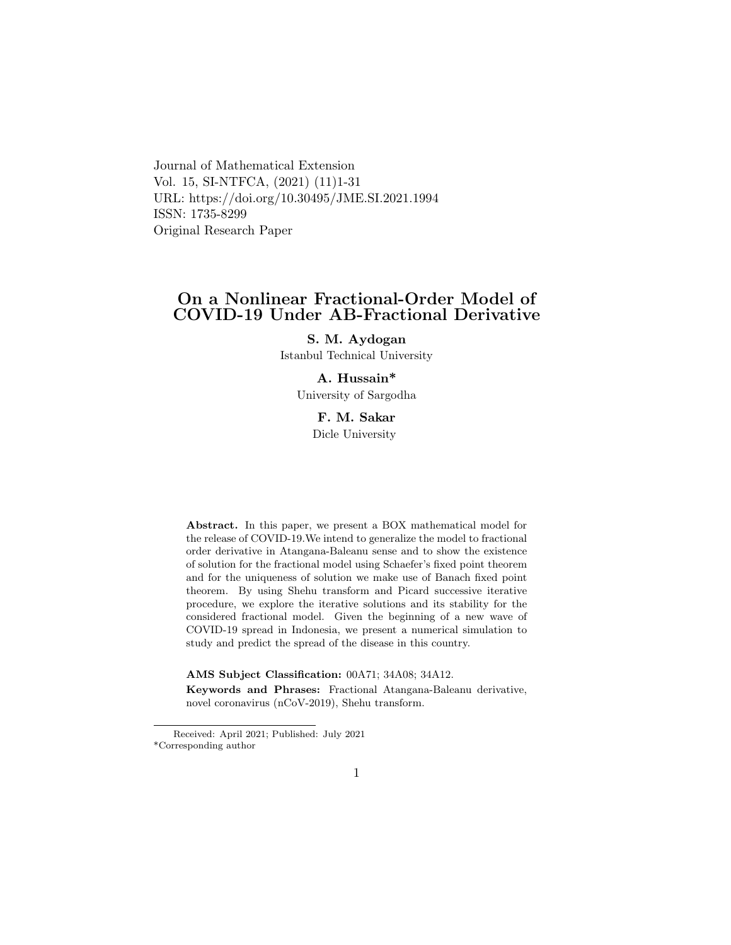Journal of Mathematical Extension Vol. 15, SI-NTFCA, (2021) (11)1-31 URL: https://doi.org/10.30495/JME.SI.2021.1994 ISSN: 1735-8299 Original Research Paper

### On a Nonlinear Fractional-Order Model of COVID-19 Under AB-Fractional Derivative

S. M. Aydogan Istanbul Technical University

#### A. Hussain\*

University of Sargodha

### F. M. Sakar Dicle University

Abstract. In this paper, we present a BOX mathematical model for the release of COVID-19.We intend to generalize the model to fractional order derivative in Atangana-Baleanu sense and to show the existence of solution for the fractional model using Schaefer's fixed point theorem and for the uniqueness of solution we make use of Banach fixed point theorem. By using Shehu transform and Picard successive iterative procedure, we explore the iterative solutions and its stability for the considered fractional model. Given the beginning of a new wave of COVID-19 spread in Indonesia, we present a numerical simulation to study and predict the spread of the disease in this country.

AMS Subject Classification: 00A71; 34A08; 34A12.

Keywords and Phrases: Fractional Atangana-Baleanu derivative, novel coronavirus (nCoV-2019), Shehu transform.

Received: April 2021; Published: July 2021 \*Corresponding author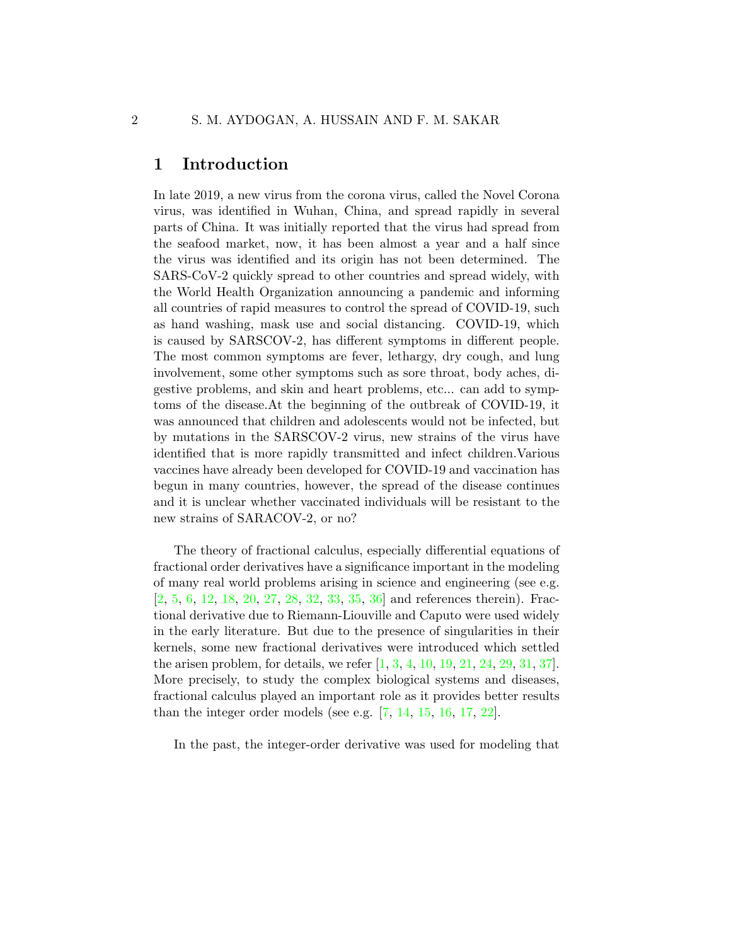### 1 Introduction

In late 2019, a new virus from the corona virus, called the Novel Corona virus, was identified in Wuhan, China, and spread rapidly in several parts of China. It was initially reported that the virus had spread from the seafood market, now, it has been almost a year and a half since the virus was identified and its origin has not been determined. The SARS-CoV-2 quickly spread to other countries and spread widely, with the World Health Organization announcing a pandemic and informing all countries of rapid measures to control the spread of COVID-19, such as hand washing, mask use and social distancing. COVID-19, which is caused by SARSCOV-2, has different symptoms in different people. The most common symptoms are fever, lethargy, dry cough, and lung involvement, some other symptoms such as sore throat, body aches, digestive problems, and skin and heart problems, etc... can add to symptoms of the disease.At the beginning of the outbreak of COVID-19, it was announced that children and adolescents would not be infected, but by mutations in the SARSCOV-2 virus, new strains of the virus have identified that is more rapidly transmitted and infect children.Various vaccines have already been developed for COVID-19 and vaccination has begun in many countries, however, the spread of the disease continues and it is unclear whether vaccinated individuals will be resistant to the new strains of SARACOV-2, or no?

The theory of fractional calculus, especially differential equations of fractional order derivatives have a significance important in the modeling of many real world problems arising in science and engineering (see e.g. [\[2,](#page-26-0) [5,](#page-26-1) [6,](#page-26-2) [12,](#page-27-0) [18,](#page-28-0) [20,](#page-28-1) [27,](#page-29-0) [28,](#page-29-1) [32,](#page-29-2) [33,](#page-29-3) [35,](#page-29-4) [36\]](#page-30-0) and references therein). Fractional derivative due to Riemann-Liouville and Caputo were used widely in the early literature. But due to the presence of singularities in their kernels, some new fractional derivatives were introduced which settled the arisen problem, for details, we refer [\[1,](#page-26-3) [3,](#page-26-4) [4,](#page-26-5) [10,](#page-27-1) [19,](#page-28-2) [21,](#page-28-3) [24,](#page-28-4) [29,](#page-29-5) [31,](#page-29-6) [37\]](#page-30-1). More precisely, to study the complex biological systems and diseases, fractional calculus played an important role as it provides better results than the integer order models (see e.g.  $[7, 14, 15, 16, 17, 22]$  $[7, 14, 15, 16, 17, 22]$  $[7, 14, 15, 16, 17, 22]$  $[7, 14, 15, 16, 17, 22]$  $[7, 14, 15, 16, 17, 22]$  $[7, 14, 15, 16, 17, 22]$  $[7, 14, 15, 16, 17, 22]$  $[7, 14, 15, 16, 17, 22]$  $[7, 14, 15, 16, 17, 22]$  $[7, 14, 15, 16, 17, 22]$ .

In the past, the integer-order derivative was used for modeling that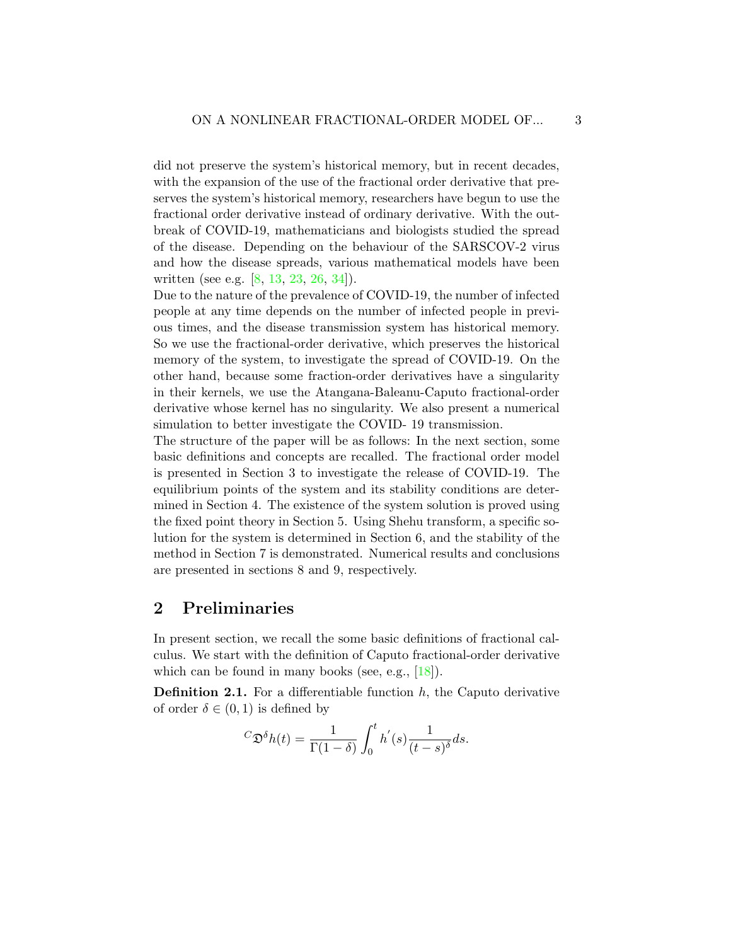did not preserve the system's historical memory, but in recent decades, with the expansion of the use of the fractional order derivative that preserves the system's historical memory, researchers have begun to use the fractional order derivative instead of ordinary derivative. With the outbreak of COVID-19, mathematicians and biologists studied the spread of the disease. Depending on the behaviour of the SARSCOV-2 virus and how the disease spreads, various mathematical models have been written (see e.g. [\[8,](#page-27-6) [13,](#page-27-7) [23,](#page-28-7) [26,](#page-29-7) [34\]](#page-29-8)).

Due to the nature of the prevalence of COVID-19, the number of infected people at any time depends on the number of infected people in previous times, and the disease transmission system has historical memory. So we use the fractional-order derivative, which preserves the historical memory of the system, to investigate the spread of COVID-19. On the other hand, because some fraction-order derivatives have a singularity in their kernels, we use the Atangana-Baleanu-Caputo fractional-order derivative whose kernel has no singularity. We also present a numerical simulation to better investigate the COVID- 19 transmission.

The structure of the paper will be as follows: In the next section, some basic definitions and concepts are recalled. The fractional order model is presented in Section 3 to investigate the release of COVID-19. The equilibrium points of the system and its stability conditions are determined in Section 4. The existence of the system solution is proved using the fixed point theory in Section 5. Using Shehu transform, a specific solution for the system is determined in Section 6, and the stability of the method in Section 7 is demonstrated. Numerical results and conclusions are presented in sections 8 and 9, respectively.

### 2 Preliminaries

In present section, we recall the some basic definitions of fractional calculus. We start with the definition of Caputo fractional-order derivative which can be found in many books (see, e.g.,  $[18]$ ).

**Definition 2.1.** For a differentiable function  $h$ , the Caputo derivative of order  $\delta \in (0,1)$  is defined by

$$
{}^{C}\mathfrak{D}^{\delta}h(t) = \frac{1}{\Gamma(1-\delta)} \int_{0}^{t} h^{'}(s) \frac{1}{(t-s)^{\delta}} ds.
$$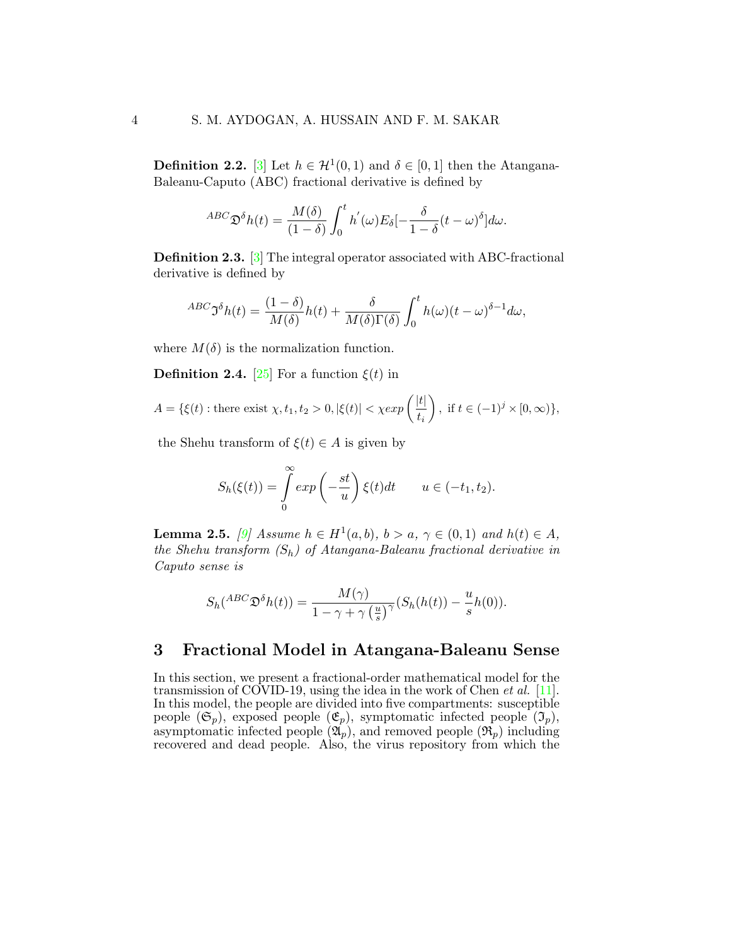**Definition 2.2.** [\[3\]](#page-26-4) Let  $h \in \mathcal{H}^1(0,1)$  and  $\delta \in [0,1]$  then the Atangana-Baleanu-Caputo (ABC) fractional derivative is defined by

$$
^{ABC}\mathfrak{D}^{\delta}h(t) = \frac{M(\delta)}{(1-\delta)} \int_0^t h'(\omega) E_{\delta}[-\frac{\delta}{1-\delta}(t-\omega)^{\delta}] d\omega.
$$

Definition 2.3. [\[3\]](#page-26-4) The integral operator associated with ABC-fractional derivative is defined by

$$
{}^{ABC}\mathfrak{I}^{\delta}h(t) = \frac{(1-\delta)}{M(\delta)}h(t) + \frac{\delta}{M(\delta)\Gamma(\delta)}\int_0^t h(\omega)(t-\omega)^{\delta-1}d\omega,
$$

where  $M(\delta)$  is the normalization function.

**Definition 2.4.** [\[25\]](#page-28-8) For a function  $\xi(t)$  in

$$
A = \{\xi(t) : \text{there exist } \chi, t_1, t_2 > 0, |\xi(t)| < \chi \exp\left(\frac{|t|}{t_i}\right), \text{ if } t \in (-1)^j \times [0, \infty)\},\
$$

the Shehu transform of  $\xi(t) \in A$  is given by

$$
S_h(\xi(t)) = \int\limits_0^\infty \exp\left(-\frac{st}{u}\right) \xi(t) dt \qquad u \in (-t_1, t_2).
$$

**Lemma 2.5.** [\[9\]](#page-27-8) Assume  $h \in H^1(a,b)$ ,  $b > a$ ,  $\gamma \in (0,1)$  and  $h(t) \in A$ , the Shehu transform  $(S_h)$  of Atangana-Baleanu fractional derivative in Caputo sense is

$$
S_h({}^{ABC}\mathfrak{D}^{\delta}h(t)) = \frac{M(\gamma)}{1 - \gamma + \gamma(\frac{u}{s})^{\gamma}}(S_h(h(t)) - \frac{u}{s}h(0)).
$$

### 3 Fractional Model in Atangana-Baleanu Sense

In this section, we present a fractional-order mathematical model for the transmission of COVID-19, using the idea in the work of Chen *et al.* [\[11\]](#page-27-9). In this model, the people are divided into five compartments: susceptible people  $(\mathfrak{S}_p)$ , exposed people  $(\mathfrak{E}_p)$ , symptomatic infected people  $(\mathfrak{I}_p)$ , asymptomatic infected people  $(\mathfrak{A}_p)$ , and removed people  $(\mathfrak{R}_p)$  including recovered and dead people. Also, the virus repository from which the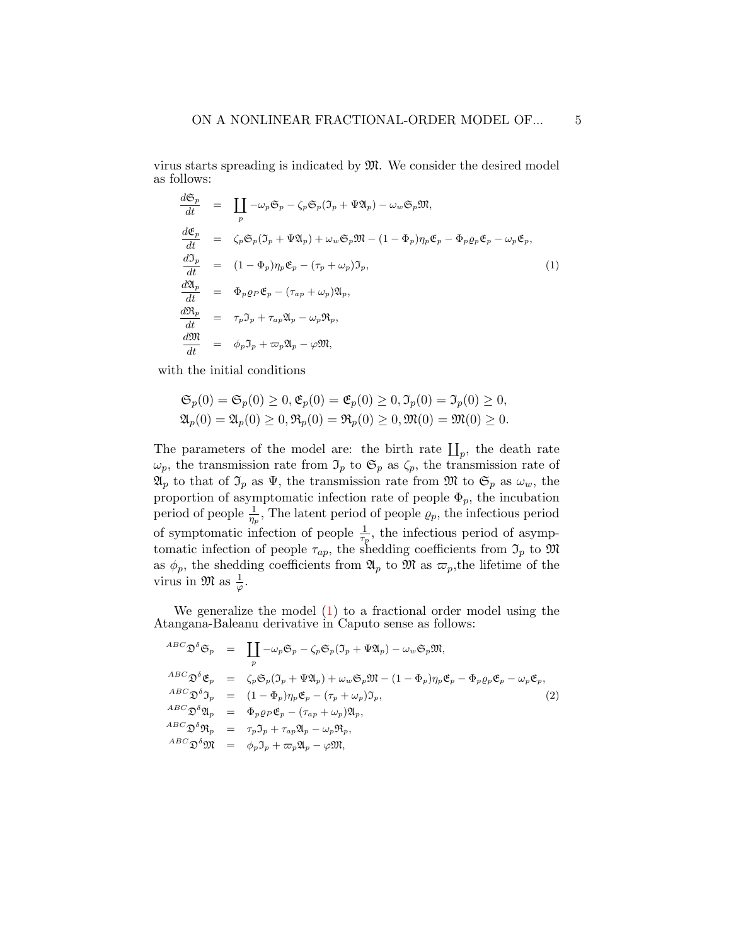virus starts spreading is indicated by M. We consider the desired model as follows:

<span id="page-4-0"></span>
$$
\frac{d\mathfrak{S}_p}{dt} = \prod_p -\omega_p \mathfrak{S}_p - \zeta_p \mathfrak{S}_p (\mathfrak{I}_p + \Psi \mathfrak{A}_p) - \omega_w \mathfrak{S}_p \mathfrak{M},
$$
\n
$$
\frac{d\mathfrak{E}_p}{dt} = \zeta_p \mathfrak{S}_p (\mathfrak{I}_p + \Psi \mathfrak{A}_p) + \omega_w \mathfrak{S}_p \mathfrak{M} - (1 - \Phi_p) \eta_p \mathfrak{E}_p - \Phi_p \varrho_p \mathfrak{E}_p - \omega_p \mathfrak{E}_p,
$$
\n
$$
\frac{d\mathfrak{I}_p}{dt} = (1 - \Phi_p) \eta_p \mathfrak{E}_p - (\tau_p + \omega_p) \mathfrak{I}_p,
$$
\n
$$
\frac{d\mathfrak{A}_p}{dt} = \Phi_p \varrho_p \mathfrak{E}_p - (\tau_{ap} + \omega_p) \mathfrak{A}_p,
$$
\n
$$
\frac{d\mathfrak{R}_p}{dt} = \tau_p \mathfrak{I}_p + \tau_{ap} \mathfrak{A}_p - \omega_p \mathfrak{R}_p,
$$
\n
$$
\frac{d\mathfrak{M}}{dt} = \phi_p \mathfrak{I}_p + \tau_{ap} \mathfrak{A}_p - \varphi \mathfrak{M},
$$
\n(1)

with the initial conditions

$$
\mathfrak{S}_p(0) = \mathfrak{S}_p(0) \ge 0, \mathfrak{E}_p(0) = \mathfrak{E}_p(0) \ge 0, \mathfrak{I}_p(0) = \mathfrak{I}_p(0) \ge 0, \mathfrak{A}_p(0) = \mathfrak{A}_p(0) \ge 0, \mathfrak{R}_p(0) = \mathfrak{R}_p(0) \ge 0, \mathfrak{M}(0) = \mathfrak{M}(0) \ge 0.
$$

The parameters of the model are: the birth rate  $\prod_p$ , the death rate  $\omega_p$ , the transmission rate from  $\mathfrak{I}_p$  to  $\mathfrak{S}_p$  as  $\zeta_p$ , the transmission rate of  $\mathfrak{A}_p$  to that of  $\mathfrak{I}_p$  as  $\Psi$ , the transmission rate from  $\mathfrak{M}$  to  $\mathfrak{S}_p$  as  $\omega_w$ , the proportion of asymptomatic infection rate of people  $\Phi_p$ , the incubation period of people  $\frac{1}{\eta_p}$ , The latent period of people  $\rho_p$ , the infectious period of symptomatic infection of people  $\frac{1}{\tau_p}$ , the infectious period of asymptomatic infection of people  $\tau_{ap}$ , the shedding coefficients from  $\mathfrak{I}_p$  to  $\mathfrak{M}$ as  $\phi_p$ , the shedding coefficients from  $\mathfrak{A}_p$  to  $\mathfrak{M}$  as  $\varpi_p$ , the lifetime of the virus in  $\mathfrak{M}$  as  $\frac{1}{\varphi}$ .

We generalize the model  $(1)$  to a fractional order model using the Atangana-Baleanu derivative in Caputo sense as follows:

<span id="page-4-1"></span>
$$
^{ABC}_{\mathfrak{D}}\mathfrak{D}^{\delta}\mathfrak{S}_{p} = \prod_{p} -\omega_{p}\mathfrak{S}_{p} - \zeta_{p}\mathfrak{S}_{p}(\mathfrak{I}_{p} + \Psi\mathfrak{A}_{p}) - \omega_{w}\mathfrak{S}_{p}\mathfrak{M},
$$
  
\n
$$
^{ABC}_{\mathfrak{D}}\mathfrak{D}^{\delta}\mathfrak{E}_{p} = \zeta_{p}\mathfrak{S}_{p}(\mathfrak{I}_{p} + \Psi\mathfrak{A}_{p}) + \omega_{w}\mathfrak{S}_{p}\mathfrak{M} - (1 - \Phi_{p})\eta_{p}\mathfrak{E}_{p} - \Phi_{p}\varrho_{p}\mathfrak{E}_{p} - \omega_{p}\mathfrak{E}_{p},
$$
  
\n
$$
^{ABC}_{\mathfrak{D}}\mathfrak{D}^{\delta}\mathfrak{Y}_{p} = (1 - \Phi_{p})\eta_{p}\mathfrak{E}_{p} - (\tau_{p} + \omega_{p})\mathfrak{I}_{p},
$$
  
\n
$$
^{ABC}_{\mathfrak{D}}\mathfrak{D}^{\delta}\mathfrak{Y}_{p} = \Phi_{p}\varrho_{p}\mathfrak{E}_{p} - (\tau_{ap} + \omega_{p})\mathfrak{A}_{p},
$$
  
\n
$$
^{ABC}_{\mathfrak{D}}\mathfrak{D}^{\delta}\mathfrak{Y}_{p} = \tau_{p}\mathfrak{I}_{p} + \tau_{ap}\mathfrak{A}_{p} - \omega_{p}\mathfrak{R}_{p},
$$
  
\n
$$
^{ABC}_{\mathfrak{D}}\mathfrak{D}^{\delta}\mathfrak{M} = \phi_{p}\mathfrak{I}_{p} + \varpi_{p}\mathfrak{A}_{p} - \varphi\mathfrak{M},
$$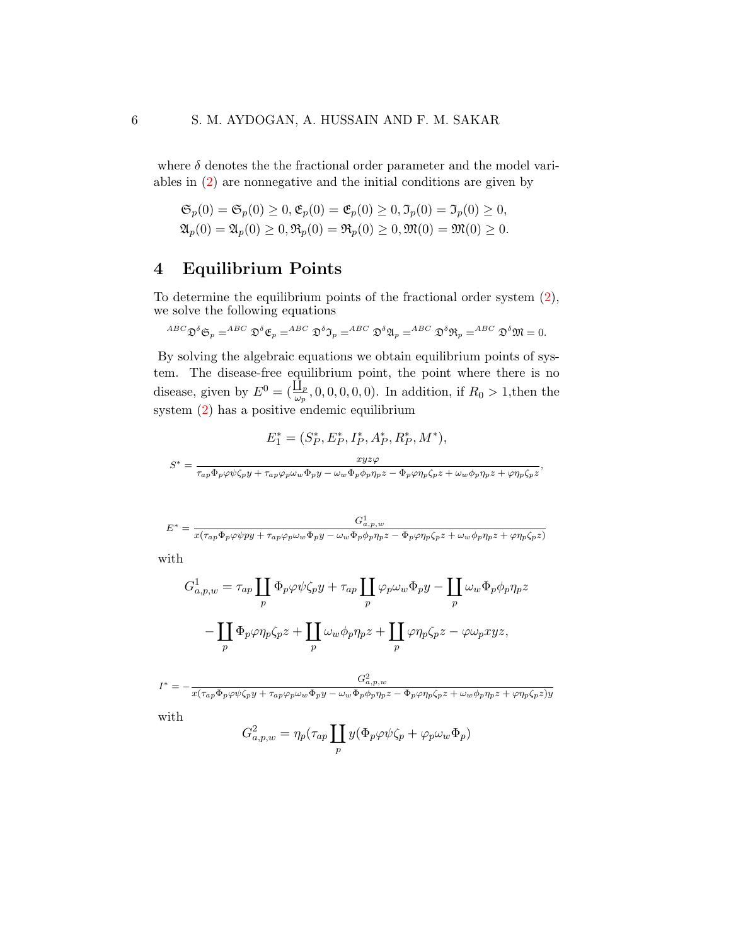where  $\delta$  denotes the the fractional order parameter and the model variables in [\(2\)](#page-4-1) are nonnegative and the initial conditions are given by

$$
\mathfrak{S}_p(0) = \mathfrak{S}_p(0) \ge 0, \mathfrak{E}_p(0) = \mathfrak{E}_p(0) \ge 0, \mathfrak{I}_p(0) = \mathfrak{I}_p(0) \ge 0, \mathfrak{A}_p(0) = \mathfrak{A}_p(0) \ge 0, \mathfrak{R}_p(0) = \mathfrak{R}_p(0) \ge 0, \mathfrak{M}(0) = \mathfrak{M}(0) \ge 0.
$$

## 4 Equilibrium Points

To determine the equilibrium points of the fractional order system [\(2\)](#page-4-1), we solve the following equations

$$
~^{ABC}\mathfrak{D}^{\delta}\mathfrak{S}_p=^{ABC}\mathfrak{D}^{\delta}\mathfrak{E}_p=^{ABC}\mathfrak{D}^{\delta}\mathfrak{I}_p=^{ABC}\mathfrak{D}^{\delta}\mathfrak{A}_p=^{ABC}\mathfrak{D}^{\delta}\mathfrak{R}_p=^{ABC}\mathfrak{D}^{\delta}\mathfrak{M}=0.
$$

By solving the algebraic equations we obtain equilibrium points of system. The disease-free equilibrium point, the point where there is no disease, given by  $E^0 = (\frac{\prod_p}{\omega_p}, 0, 0, 0, 0, 0)$ . In addition, if  $R_0 > 1$ , then the system [\(2\)](#page-4-1) has a positive endemic equilibrium

$$
E_1^* = (S_P^*, E_P^*, I_P^*, A_P^*, R_P^*, M^*),
$$
  

$$
S^* = \frac{xyz\varphi}{\tau_{ap}\Phi_p\varphi\psi\zeta_p y + \tau_{ap}\varphi_p\omega_w\Phi_p y - \omega_w\Phi_p\phi_p\eta_p z - \Phi_p\varphi\eta_p\zeta_p z + \omega_w\phi_p\eta_p z + \varphi\eta_p\zeta_p z},
$$

$$
E^* = \frac{G^1_{a,p,w}}{x(\tau_{ap}\Phi_p\varphi\psi py + \tau_{ap}\varphi_p\omega_w\Phi_p y - \omega_w\Phi_p\phi_p\eta_pz - \Phi_p\varphi\eta_p\zeta_pz + \omega_w\phi_p\eta_pz + \varphi\eta_p\zeta_pz)}
$$

with

$$
G_{a,p,w}^{1} = \tau_{ap} \prod_{p} \Phi_{p} \varphi \psi \zeta_{p} y + \tau_{ap} \prod_{p} \varphi_{p} \omega_{w} \Phi_{p} y - \prod_{p} \omega_{w} \Phi_{p} \phi_{p} \eta_{p} z
$$

$$
- \prod_{p} \Phi_{p} \varphi \eta_{p} \zeta_{p} z + \prod_{p} \omega_{w} \phi_{p} \eta_{p} z + \prod_{p} \varphi \eta_{p} \zeta_{p} z - \varphi \omega_{p} xyz,
$$

$$
I^* = -\frac{G_{a,p,w}^2}{x(\tau_{ap}\Phi_p\varphi\psi\zeta_p y + \tau_{ap}\varphi_p\omega_w\Phi_p y - \omega_w\Phi_p\phi_p\eta_p z - \Phi_p\varphi\eta_p\zeta_p z + \omega_w\phi_p\eta_p z + \varphi\eta_p\zeta_p z)y}
$$

with

$$
G_{a,p,w}^2 = \eta_p(\tau_{ap} \coprod_p y(\Phi_p \varphi \psi \zeta_p + \varphi_p \omega_w \Phi_p)
$$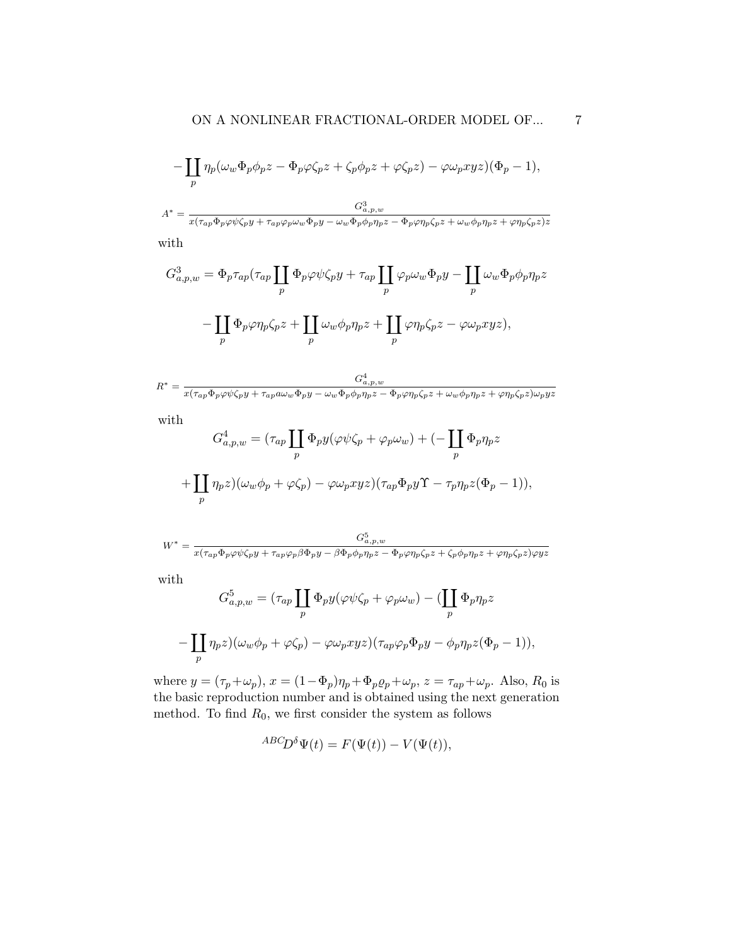$$
-\coprod_{p} \eta_{p}(\omega_{w}\Phi_{p}\phi_{p}z - \Phi_{p}\varphi\zeta_{p}z + \zeta_{p}\phi_{p}z + \varphi\zeta_{p}z) - \varphi\omega_{p}xyz)(\Phi_{p} - 1),
$$

$$
A^{*} = \frac{G^{3}_{a,p,w}}{x(\tau_{ap}\Phi_{p}\varphi\psi\zeta_{p}y + \tau_{ap}\varphi_{p}\omega_{w}\Phi_{p}y - \omega_{w}\Phi_{p}\phi_{p}\eta_{p}z - \Phi_{p}\varphi\eta_{p}\zeta_{p}z + \omega_{w}\phi_{p}\eta_{p}z + \varphi\eta_{p}\zeta_{p}z)z}
$$

with

$$
G_{a,p,w}^3 = \Phi_p \tau_{ap} (\tau_{ap} \coprod_p \Phi_p \varphi \psi \zeta_p y + \tau_{ap} \coprod_p \varphi_p \omega_w \Phi_p y - \coprod_p \omega_w \Phi_p \phi_p \eta_p z
$$

$$
- \coprod_p \Phi_p \varphi \eta_p \zeta_p z + \coprod_p \omega_w \phi_p \eta_p z + \coprod_p \varphi \eta_p \zeta_p z - \varphi \omega_p x y z),
$$

$$
R^* = \frac{G^4_{a,p,w}}{x(\tau_{ap}\Phi_p\varphi\psi\zeta_p y + \tau_{ap}a\omega_w\Phi_p y - \omega_w\Phi_p\phi_p\eta_p z - \Phi_p\varphi\eta_p\zeta_p z + \omega_w\phi_p\eta_p z + \varphi\eta_p\zeta_p z)\omega_p yz}
$$

with

$$
G_{a,p,w}^4 = (\tau_{ap} \coprod_p \Phi_p y (\varphi \psi \zeta_p + \varphi_p \omega_w) + (- \coprod_p \Phi_p \eta_p z
$$

$$
+ \coprod_p \eta_p z)(\omega_w \phi_p + \varphi \zeta_p) - \varphi \omega_p x y z)(\tau_{ap} \Phi_p y \Upsilon - \tau_p \eta_p z (\Phi_p - 1)),
$$

$$
W^* = \frac{G^5_{a,p,w}}{x(\tau_{ap}\Phi_p\varphi\psi\zeta_p y + \tau_{ap}\varphi_p\beta\Phi_p y - \beta\Phi_p\phi_p\eta_p z - \Phi_p\varphi\eta_p\zeta_p z + \zeta_p\phi_p\eta_p z + \varphi\eta_p\zeta_p z)\varphi yz}
$$

with

$$
G_{a,p,w}^5 = (\tau_{ap} \prod_p \Phi_p y(\varphi \psi \zeta_p + \varphi_p \omega_w) - (\prod_p \Phi_p \eta_p z)
$$

$$
-\prod_p \eta_p z)(\omega_w \phi_p + \varphi \zeta_p) - \varphi \omega_p xyz)(\tau_{ap} \varphi_p \Phi_p y - \phi_p \eta_p z(\Phi_p - 1)),
$$

where  $y = (\tau_p + \omega_p)$ ,  $x = (1 - \Phi_p)\eta_p + \Phi_p \varrho_p + \omega_p$ ,  $z = \tau_{ap} + \omega_p$ . Also,  $R_0$  is the basic reproduction number and is obtained using the next generation method. To find  $R_0$ , we first consider the system as follows

$$
^{ABC}\!D^{\delta}\Psi(t) = F(\Psi(t)) - V(\Psi(t)),
$$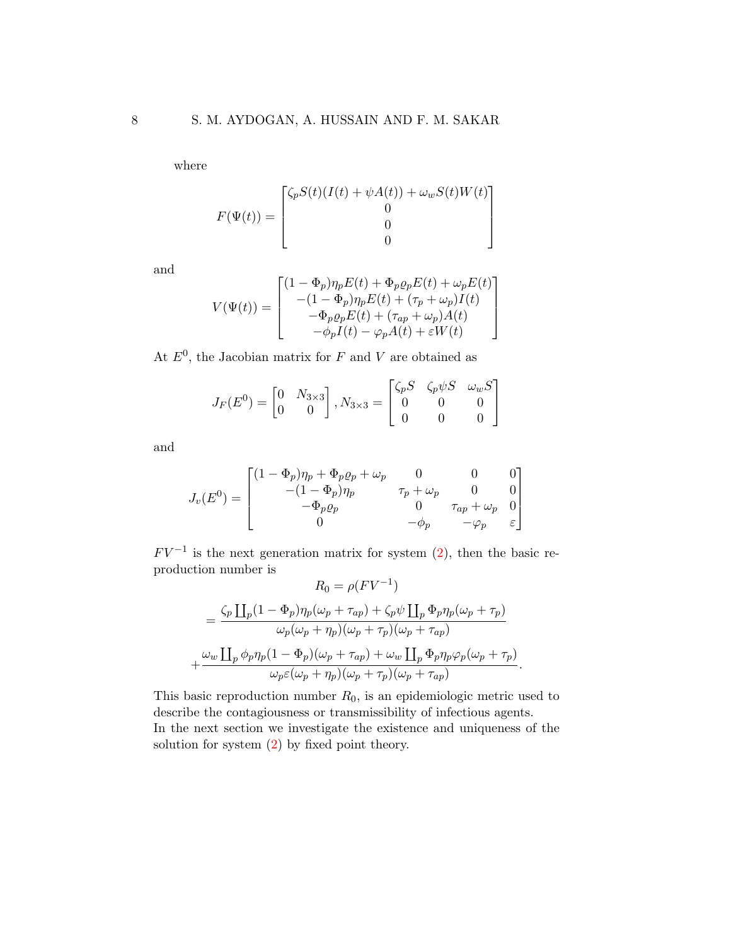where

$$
F(\Psi(t)) = \begin{bmatrix} \zeta_p S(t)(I(t) + \psi A(t)) + \omega_w S(t)W(t) \\ 0 \\ 0 \\ 0 \end{bmatrix}
$$

and

$$
V(\Psi(t)) = \begin{bmatrix} (1 - \Phi_p)\eta_p E(t) + \Phi_p \varrho_p E(t) + \omega_p E(t) \\ -(1 - \Phi_p)\eta_p E(t) + (\tau_p + \omega_p)I(t) \\ -\Phi_p \varrho_p E(t) + (\tau_{ap} + \omega_p)A(t) \\ -\phi_p I(t) - \varphi_p A(t) + \varepsilon W(t) \end{bmatrix}
$$

At  $E^0$ , the Jacobian matrix for F and V are obtained as

$$
J_F(E^0) = \begin{bmatrix} 0 & N_{3 \times 3} \\ 0 & 0 \end{bmatrix}, N_{3 \times 3} = \begin{bmatrix} \zeta_p S & \zeta_p \psi S & \omega_w S \\ 0 & 0 & 0 \\ 0 & 0 & 0 \end{bmatrix}
$$

and

$$
J_v(E^0) = \begin{bmatrix} (1 - \Phi_p)\eta_p + \Phi_p \varrho_p + \omega_p & 0 & 0 & 0 \\ -(1 - \Phi_p)\eta_p & \tau_p + \omega_p & 0 & 0 \\ -\Phi_p \varrho_p & 0 & \tau_{ap} + \omega_p & 0 \\ 0 & -\phi_p & -\varphi_p & \varepsilon \end{bmatrix}
$$

 $FV^{-1}$  is the next generation matrix for system  $(2)$ , then the basic reproduction number is  $-1\sqrt{ }$ 

$$
R_0 = \rho (FV^{-1})
$$
  
= 
$$
\frac{\zeta_p \prod_p (1 - \Phi_p) \eta_p (\omega_p + \tau_{ap}) + \zeta_p \psi \prod_p \Phi_p \eta_p (\omega_p + \tau_p)}{\omega_p (\omega_p + \eta_p) (\omega_p + \tau_p) (\omega_p + \tau_{ap})}
$$
  
+ 
$$
\frac{\omega_w \prod_p \phi_p \eta_p (1 - \Phi_p) (\omega_p + \tau_{ap}) + \omega_w \prod_p \Phi_p \eta_p \varphi_p (\omega_p + \tau_p)}{\omega_p \varepsilon (\omega_p + \eta_p) (\omega_p + \tau_p) (\omega_p + \tau_{ap})}.
$$

This basic reproduction number  $R_0$ , is an epidemiologic metric used to describe the contagiousness or transmissibility of infectious agents. In the next section we investigate the existence and uniqueness of the solution for system [\(2\)](#page-4-1) by fixed point theory.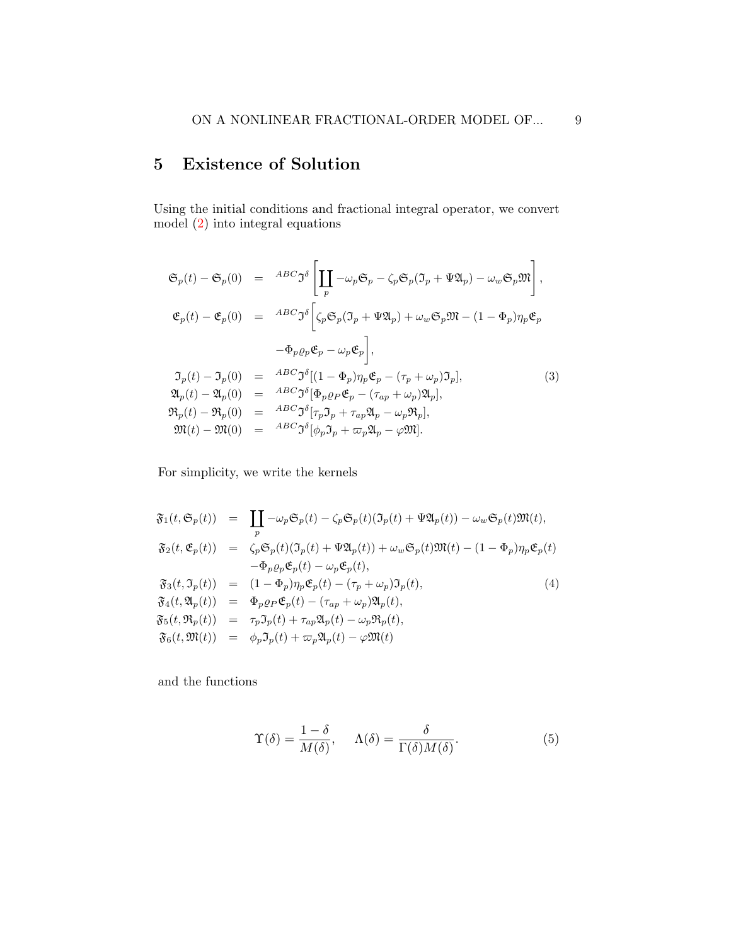# 5 Existence of Solution

Using the initial conditions and fractional integral operator, we convert model [\(2\)](#page-4-1) into integral equations

<span id="page-8-2"></span>
$$
\mathfrak{S}_p(t) - \mathfrak{S}_p(0) = \left. \begin{array}{lll} ABC \mathfrak{I}^{\delta} \left[ \prod_P -\omega_p \mathfrak{S}_p - \zeta_p \mathfrak{S}_p (\mathfrak{I}_p + \Psi \mathfrak{A}_p) - \omega_w \mathfrak{S}_p \mathfrak{M} \right], \\ \mathfrak{E}_p(t) - \mathfrak{E}_p(0) = \left. \begin{array}{lll} ABC \mathfrak{I}^{\delta} \left[ \zeta_p \mathfrak{S}_p (\mathfrak{I}_p + \Psi \mathfrak{A}_p) + \omega_w \mathfrak{S}_p \mathfrak{M} - (1 - \Phi_p) \eta_p \mathfrak{E}_p \right. \\ - \Phi_p \varrho_p \mathfrak{E}_p - \omega_p \mathfrak{E}_p \right], \end{array} \\ \mathfrak{I}_p(t) - \mathfrak{I}_p(0) = \left. \begin{array}{lll} ABC \mathfrak{I}^{\delta} [(1 - \Phi_p) \eta_p \mathfrak{E}_p - (\tau_p + \omega_p) \mathfrak{I}_p], \\ \mathfrak{R}_p(t) - \mathfrak{A}_p(0) = \left. \begin{array}{lll} ABC \mathfrak{I}^{\delta} [\Phi_p \varrho_P \mathfrak{E}_p - (\tau_{ap} + \omega_p) \mathfrak{A}_p], \\ \mathfrak{R}_p(t) - \mathfrak{R}_p(0) = \left. \begin{array}{lll} ABC \mathfrak{I}^{\delta} [\tau_p \mathfrak{I}_p + \tau_{ap} \mathfrak{A}_p - \omega_p \mathfrak{R}_p], \\ \mathfrak{M}(t) - \mathfrak{M}(0) = \left. \begin{array}{lll} ABC \mathfrak{I}^{\delta} [\phi_p \mathfrak{I}_p + \tau_{ap} \mathfrak{A}_p - \omega_p \mathfrak{M}]. \end{array} \end{array} \right. \end{array} \right.
$$

For simplicity, we write the kernels

<span id="page-8-0"></span>
$$
\mathfrak{F}_1(t, \mathfrak{S}_p(t)) = \prod_p -\omega_p \mathfrak{S}_p(t) - \zeta_p \mathfrak{S}_p(t) (\mathfrak{I}_p(t) + \Psi \mathfrak{A}_p(t)) - \omega_w \mathfrak{S}_p(t) \mathfrak{M}(t), \n\mathfrak{F}_2(t, \mathfrak{E}_p(t)) = \zeta_p \mathfrak{S}_p(t) (\mathfrak{I}_p(t) + \Psi \mathfrak{A}_p(t)) + \omega_w \mathfrak{S}_p(t) \mathfrak{M}(t) - (1 - \Phi_p) \eta_p \mathfrak{E}_p(t) \n- \Phi_p \varrho_p \mathfrak{E}_p(t) - \omega_p \mathfrak{E}_p(t), \n\mathfrak{F}_3(t, \mathfrak{I}_p(t)) = (1 - \Phi_p) \eta_p \mathfrak{E}_p(t) - (\tau_p + \omega_p) \mathfrak{I}_p(t), \n\mathfrak{F}_4(t, \mathfrak{A}_p(t)) = \Phi_p \varrho_p \mathfrak{E}_p(t) - (\tau_{ap} + \omega_p) \mathfrak{A}_p(t), \n\mathfrak{F}_5(t, \mathfrak{R}_p(t)) = \tau_p \mathfrak{I}_p(t) + \tau_{ap} \mathfrak{A}_p(t) - \omega_p \mathfrak{R}_p(t), \n\mathfrak{F}_6(t, \mathfrak{M}(t)) = \phi_p \mathfrak{I}_p(t) + \omega_p \mathfrak{A}_p(t) - \varphi \mathfrak{M}(t)
$$

and the functions

<span id="page-8-1"></span>
$$
\Upsilon(\delta) = \frac{1 - \delta}{M(\delta)}, \quad \Lambda(\delta) = \frac{\delta}{\Gamma(\delta)M(\delta)}.
$$
\n(5)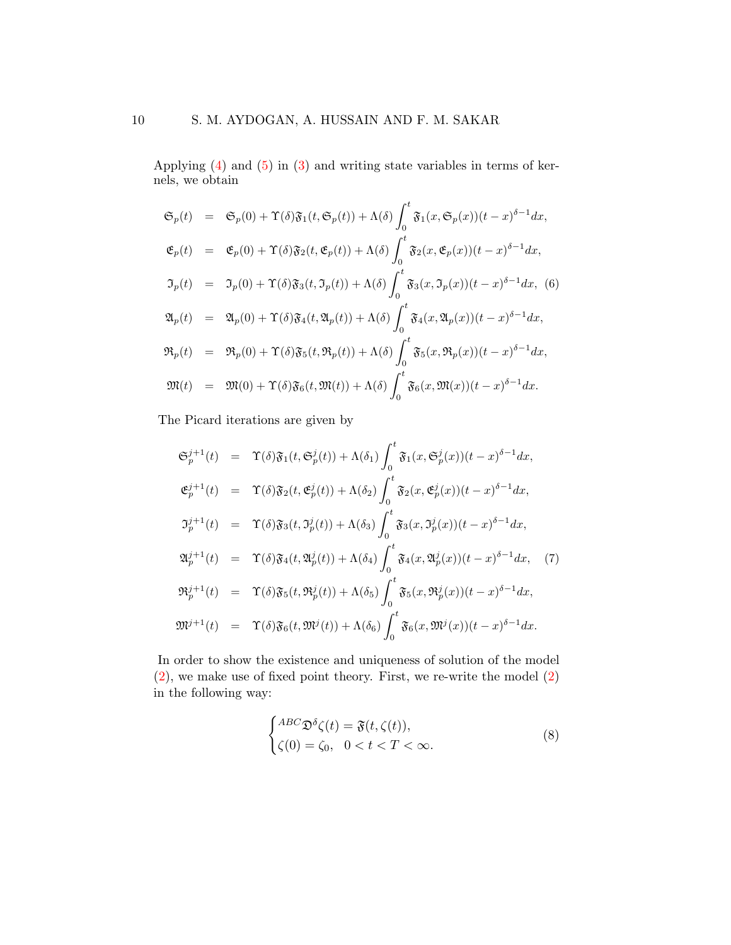Applying [\(4\)](#page-8-0) and [\(5\)](#page-8-1) in [\(3\)](#page-8-2) and writing state variables in terms of kernels, we obtain

$$
\mathfrak{S}_p(t) = \mathfrak{S}_p(0) + \Upsilon(\delta)\mathfrak{F}_1(t, \mathfrak{S}_p(t)) + \Lambda(\delta)\int_0^t \mathfrak{F}_1(x, \mathfrak{S}_p(x))(t-x)^{\delta-1}dx,
$$
  
\n
$$
\mathfrak{E}_p(t) = \mathfrak{E}_p(0) + \Upsilon(\delta)\mathfrak{F}_2(t, \mathfrak{E}_p(t)) + \Lambda(\delta)\int_0^t \mathfrak{F}_2(x, \mathfrak{E}_p(x))(t-x)^{\delta-1}dx,
$$
  
\n
$$
\mathfrak{I}_p(t) = \mathfrak{I}_p(0) + \Upsilon(\delta)\mathfrak{F}_3(t, \mathfrak{I}_p(t)) + \Lambda(\delta)\int_0^t \mathfrak{F}_3(x, \mathfrak{I}_p(x))(t-x)^{\delta-1}dx, \quad (6)
$$
  
\n
$$
\mathfrak{A}_p(t) = \mathfrak{A}_p(0) + \Upsilon(\delta)\mathfrak{F}_4(t, \mathfrak{A}_p(t)) + \Lambda(\delta)\int_0^t \mathfrak{F}_4(x, \mathfrak{A}_p(x))(t-x)^{\delta-1}dx,
$$
  
\n
$$
\mathfrak{R}_p(t) = \mathfrak{R}_p(0) + \Upsilon(\delta)\mathfrak{F}_5(t, \mathfrak{R}_p(t)) + \Lambda(\delta)\int_0^t \mathfrak{F}_5(x, \mathfrak{R}_p(x))(t-x)^{\delta-1}dx,
$$
  
\n
$$
\mathfrak{M}(t) = \mathfrak{M}(0) + \Upsilon(\delta)\mathfrak{F}_6(t, \mathfrak{M}(t)) + \Lambda(\delta)\int_0^t \mathfrak{F}_6(x, \mathfrak{M}(x))(t-x)^{\delta-1}dx.
$$

The Picard iterations are given by

$$
\mathfrak{S}_{p}^{j+1}(t) = \Upsilon(\delta)\mathfrak{F}_{1}(t,\mathfrak{S}_{p}^{j}(t)) + \Lambda(\delta_{1})\int_{0}^{t}\mathfrak{F}_{1}(x,\mathfrak{S}_{p}^{j}(x))(t-x)^{\delta-1}dx,
$$
  
\n
$$
\mathfrak{E}_{p}^{j+1}(t) = \Upsilon(\delta)\mathfrak{F}_{2}(t,\mathfrak{E}_{p}^{j}(t)) + \Lambda(\delta_{2})\int_{0}^{t}\mathfrak{F}_{2}(x,\mathfrak{E}_{p}^{j}(x))(t-x)^{\delta-1}dx,
$$
  
\n
$$
\mathfrak{I}_{p}^{j+1}(t) = \Upsilon(\delta)\mathfrak{F}_{3}(t,\mathfrak{I}_{p}^{j}(t)) + \Lambda(\delta_{3})\int_{0}^{t}\mathfrak{F}_{3}(x,\mathfrak{I}_{p}^{j}(x))(t-x)^{\delta-1}dx,
$$
  
\n
$$
\mathfrak{A}_{p}^{j+1}(t) = \Upsilon(\delta)\mathfrak{F}_{4}(t,\mathfrak{A}_{p}^{j}(t)) + \Lambda(\delta_{4})\int_{0}^{t}\mathfrak{F}_{4}(x,\mathfrak{A}_{p}^{j}(x))(t-x)^{\delta-1}dx,
$$
  
\n
$$
\mathfrak{R}_{p}^{j+1}(t) = \Upsilon(\delta)\mathfrak{F}_{5}(t,\mathfrak{R}_{p}^{j}(t)) + \Lambda(\delta_{5})\int_{0}^{t}\mathfrak{F}_{5}(x,\mathfrak{R}_{p}^{j}(x))(t-x)^{\delta-1}dx,
$$
  
\n
$$
\mathfrak{M}^{j+1}(t) = \Upsilon(\delta)\mathfrak{F}_{6}(t,\mathfrak{M}^{j}(t)) + \Lambda(\delta_{6})\int_{0}^{t}\mathfrak{F}_{6}(x,\mathfrak{M}^{j}(x))(t-x)^{\delta-1}dx.
$$

In order to show the existence and uniqueness of solution of the model [\(2\)](#page-4-1), we make use of fixed point theory. First, we re-write the model [\(2\)](#page-4-1) in the following way:

<span id="page-9-0"></span>
$$
\begin{cases}\n\begin{aligned}\n\frac{ABC}{\mathfrak{D}} \delta \zeta(t) &= \mathfrak{F}(t, \zeta(t)), \\
\zeta(0) &= \zeta_0, \quad 0 < t < T < \infty.\n\end{aligned}\n\end{cases}\n\tag{8}
$$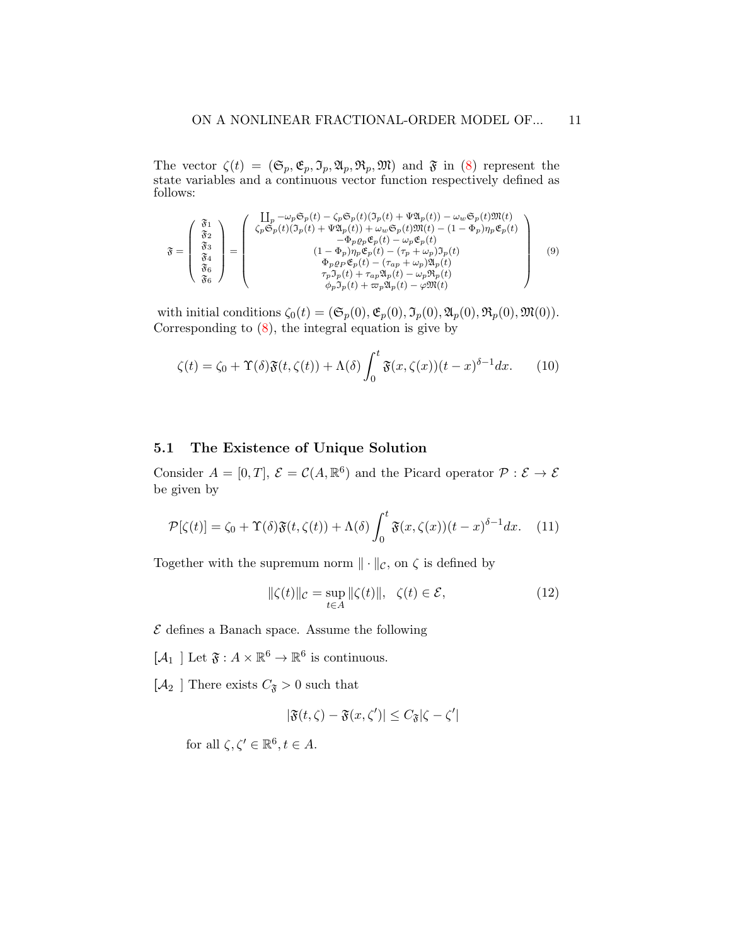The vector  $\zeta(t) = (\mathfrak{S}_p, \mathfrak{E}_p, \mathfrak{I}_p, \mathfrak{A}_p, \mathfrak{M})$  and  $\mathfrak{F}$  in [\(8\)](#page-9-0) represent the state variables and a continuous vector function respectively defined as follows:

$$
\mathfrak{F} = \left(\begin{array}{c} \mathfrak{F}_{1} \\ \mathfrak{F}_{2} \\ \mathfrak{F}_{3} \\ \mathfrak{F}_{4} \\ \mathfrak{F}_{6} \\ \mathfrak{F}_{6} \end{array}\right) = \left(\begin{array}{c} \prod_{p} -\omega_{p} \mathfrak{S}_{p}(t) - \zeta_{p} \mathfrak{S}_{p}(t)(\mathfrak{I}_{p}(t) + \Psi \mathfrak{A}_{p}(t)) - \omega_{w} \mathfrak{S}_{p}(t) \mathfrak{M}(t) \\ \zeta_{p} \mathfrak{S}_{p}(t)(\mathfrak{I}_{p}(t) + \Psi \mathfrak{A}_{p}(t)) + \omega_{w} \mathfrak{S}_{p}(t) \mathfrak{M}(t) - (1 - \Phi_{p}) \eta_{p} \mathfrak{E}_{p}(t) \\ -\Phi_{p} \rho_{p} \mathfrak{E}_{p}(t) - \omega_{p} \mathfrak{E}_{p}(t) \\ (1 - \Phi_{p}) \eta_{p} \mathfrak{E}_{p}(t) - (\tau_{p} + \omega_{p}) \mathfrak{I}_{p}(t) \\ \Phi_{p} \rho_{p} \mathfrak{E}_{p}(t) - (\tau_{ap} + \omega_{p}) \mathfrak{A}_{p}(t) \\ \tau_{p} \mathfrak{I}_{p}(t) + \tau_{ap} \mathfrak{A}_{p}(t) - \omega_{p} \mathfrak{R}_{p}(t) \\ \phi_{p} \mathfrak{I}_{p}(t) + \varpi_{p} \mathfrak{A}_{p}(t) - \varphi \mathfrak{M}(t) \end{array}\right) \tag{9}
$$

with initial conditions  $\zeta_0(t) = (\mathfrak{S}_p(0), \mathfrak{E}_p(0), \mathfrak{I}_p(0), \mathfrak{A}_p(0), \mathfrak{R}_p(0), \mathfrak{M}(0)).$ Corresponding to  $(8)$ , the integral equation is give by

$$
\zeta(t) = \zeta_0 + \Upsilon(\delta)\mathfrak{F}(t,\zeta(t)) + \Lambda(\delta)\int_0^t \mathfrak{F}(x,\zeta(x))(t-x)^{\delta-1}dx.
$$
 (10)

#### 5.1 The Existence of Unique Solution

Consider  $A = [0, T]$ ,  $\mathcal{E} = \mathcal{C}(A, \mathbb{R}^6)$  and the Picard operator  $\mathcal{P} : \mathcal{E} \to \mathcal{E}$ be given by

<span id="page-10-0"></span>
$$
\mathcal{P}[\zeta(t)] = \zeta_0 + \Upsilon(\delta)\mathfrak{F}(t,\zeta(t)) + \Lambda(\delta)\int_0^t \mathfrak{F}(x,\zeta(x))(t-x)^{\delta-1}dx. \tag{11}
$$

Together with the supremum norm  $\|\cdot\|_{\mathcal{C}}$ , on  $\zeta$  is defined by

$$
\|\zeta(t)\|_{\mathcal{C}} = \sup_{t \in A} \|\zeta(t)\|, \quad \zeta(t) \in \mathcal{E},\tag{12}
$$

 $\mathcal E$  defines a Banach space. Assume the following

 $[\mathcal{A}_1]$  Let  $\mathfrak{F}: A \times \mathbb{R}^6 \to \mathbb{R}^6$  is continuous.

 $[\mathcal{A}_2$  ] There exists  $C_{\mathfrak{F}}>0$  such that

$$
|\mathfrak{F}(t,\zeta)-\mathfrak{F}(x,\zeta')|\leq C_{\mathfrak{F}}|\zeta-\zeta'|
$$

for all  $\zeta, \zeta' \in \mathbb{R}^6, t \in A$ .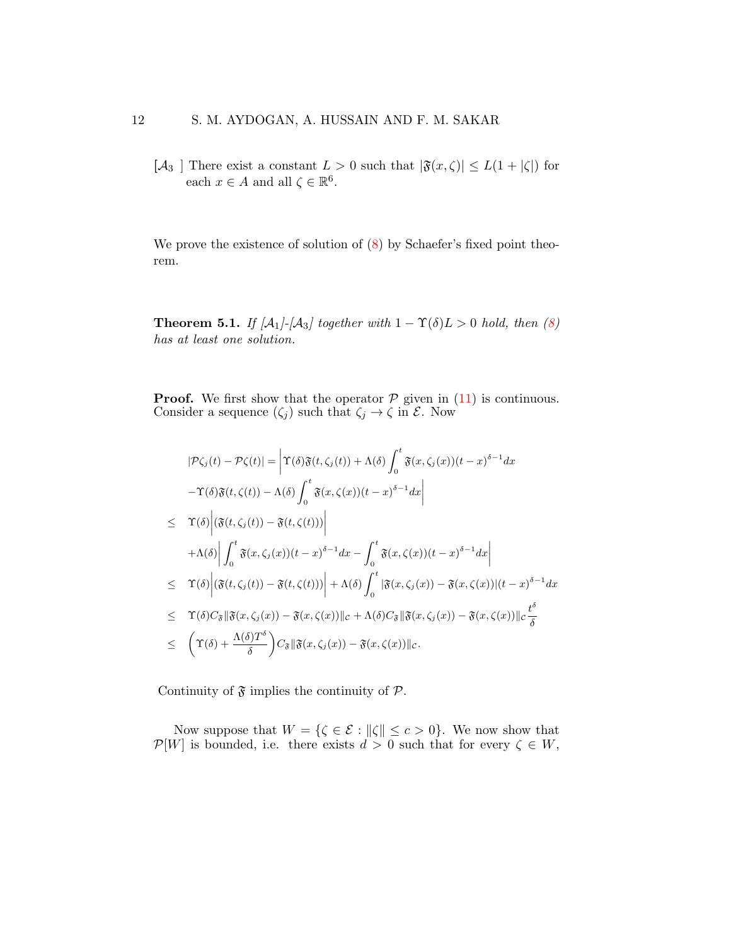$[\mathcal{A}_3]$  There exist a constant  $L > 0$  such that  $|\mathfrak{F}(x,\zeta)| \leq L(1+|\zeta|)$  for each  $x \in A$  and all  $\zeta \in \mathbb{R}^6$ .

We prove the existence of solution of  $(8)$  by Schaefer's fixed point theorem.

**Theorem 5.1.** If  $[A_1]$ - $[A_3]$  together with  $1 - \Upsilon(\delta) L > 0$  hold, then [\(8\)](#page-9-0) has at least one solution.

**Proof.** We first show that the operator  $P$  given in [\(11\)](#page-10-0) is continuous. Consider a sequence  $(\zeta_j)$  such that  $\zeta_j \to \zeta$  in  $\mathcal{E}$ . Now

$$
|\mathcal{P}\zeta_j(t) - \mathcal{P}\zeta(t)| = \left| \Upsilon(\delta)\mathfrak{F}(t,\zeta_j(t)) + \Lambda(\delta)\int_0^t \mathfrak{F}(x,\zeta_j(x))(t-x)^{\delta-1}dx \right|
$$
  
\n
$$
-\Upsilon(\delta)\mathfrak{F}(t,\zeta(t)) - \Lambda(\delta)\int_0^t \mathfrak{F}(x,\zeta(x))(t-x)^{\delta-1}dx \right|
$$
  
\n
$$
\leq \Upsilon(\delta) \left| \left( \mathfrak{F}(t,\zeta_j(t)) - \mathfrak{F}(t,\zeta(t)) \right) \right|
$$
  
\n
$$
+ \Lambda(\delta) \left| \int_0^t \mathfrak{F}(x,\zeta_j(x))(t-x)^{\delta-1}dx - \int_0^t \mathfrak{F}(x,\zeta(x))(t-x)^{\delta-1}dx \right|
$$
  
\n
$$
\leq \Upsilon(\delta) \left| \left( \mathfrak{F}(t,\zeta_j(t)) - \mathfrak{F}(t,\zeta(t)) \right) \right| + \Lambda(\delta) \int_0^t \left| \mathfrak{F}(x,\zeta_j(x)) - \mathfrak{F}(x,\zeta(x)) \right| (t-x)^{\delta-1}dx
$$
  
\n
$$
\leq \Upsilon(\delta)C_{\delta} \left\| \mathfrak{F}(x,\zeta_j(x)) - \mathfrak{F}(x,\zeta(x)) \right\|_{\mathcal{C}} + \Lambda(\delta)C_{\delta} \left\| \mathfrak{F}(x,\zeta_j(x)) - \mathfrak{F}(x,\zeta(x)) \right\|_{\mathcal{C}} \frac{t^{\delta}}{\delta}
$$
  
\n
$$
\leq \Upsilon(\delta) + \frac{\Lambda(\delta)T^{\delta}}{\delta} \right) C_{\delta} \left\| \mathfrak{F}(x,\zeta_j(x)) - \mathfrak{F}(x,\zeta(x)) \right\|_{\mathcal{C}}.
$$

Continuity of  $\mathfrak F$  implies the continuity of  $\mathcal P$ .

Now suppose that  $W = \{ \zeta \in \mathcal{E} : ||\zeta|| \leq c > 0 \}.$  We now show that  $\mathcal{P}[W]$  is bounded, i.e. there exists  $d > 0$  such that for every  $\zeta \in W$ ,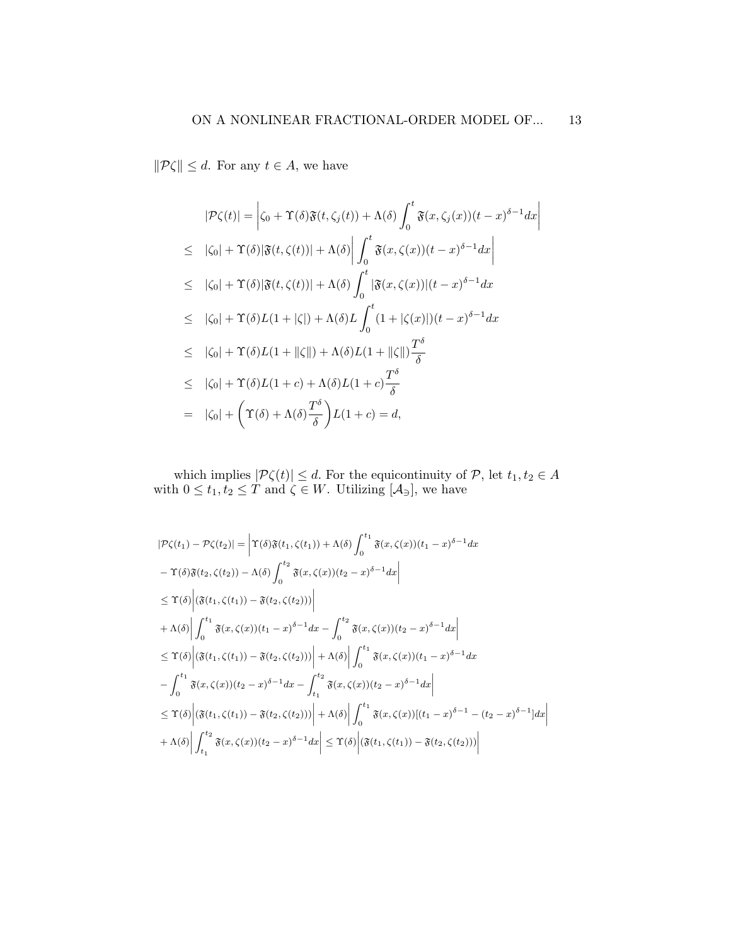$\|\mathcal{P}\zeta\| \leq d.$  For any  $t \in A$ , we have

$$
|\mathcal{P}\zeta(t)| = \left|\zeta_0 + \Upsilon(\delta)\mathfrak{F}(t,\zeta_j(t)) + \Lambda(\delta)\int_0^t \mathfrak{F}(x,\zeta_j(x))(t-x)^{\delta-1}dx\right|
$$
  
\n
$$
\leq |\zeta_0| + \Upsilon(\delta)|\mathfrak{F}(t,\zeta(t))| + \Lambda(\delta)\left|\int_0^t \mathfrak{F}(x,\zeta(x))(t-x)^{\delta-1}dx\right|
$$
  
\n
$$
\leq |\zeta_0| + \Upsilon(\delta)|\mathfrak{F}(t,\zeta(t))| + \Lambda(\delta)\int_0^t |\mathfrak{F}(x,\zeta(x))|(t-x)^{\delta-1}dx
$$
  
\n
$$
\leq |\zeta_0| + \Upsilon(\delta)L(1+|\zeta|) + \Lambda(\delta)L\int_0^t (1+|\zeta(x)|)(t-x)^{\delta-1}dx
$$
  
\n
$$
\leq |\zeta_0| + \Upsilon(\delta)L(1+||\zeta||) + \Lambda(\delta)L(1+||\zeta||)\frac{T^{\delta}}{\delta}
$$
  
\n
$$
\leq |\zeta_0| + \Upsilon(\delta)L(1+c) + \Lambda(\delta)L(1+c)\frac{T^{\delta}}{\delta}
$$
  
\n
$$
= |\zeta_0| + \Upsilon(\delta) + \Lambda(\delta)\frac{T^{\delta}}{\delta}L(1+c) = d,
$$

which implies  $|\mathcal{P}\zeta(t)| \leq d$ . For the equicontinuity of  $\mathcal{P}$ , let  $t_1, t_2 \in A$ with  $0 \le t_1, t_2 \le T$  and  $\zeta \in W$ . Utilizing  $[\mathcal{A}_{\exists}]$ , we have

$$
|\mathcal{P}\zeta(t_1) - \mathcal{P}\zeta(t_2)| = \left| \Upsilon(\delta)\mathfrak{F}(t_1, \zeta(t_1)) + \Lambda(\delta) \int_0^{t_1} \mathfrak{F}(x, \zeta(x))(t_1 - x)^{\delta - 1} dx \right|
$$
  
\n
$$
- \Upsilon(\delta)\mathfrak{F}(t_2, \zeta(t_2)) - \Lambda(\delta) \int_0^{t_2} \mathfrak{F}(x, \zeta(x))(t_2 - x)^{\delta - 1} dx \Big|
$$
  
\n
$$
\leq \Upsilon(\delta) \Big| \langle \mathfrak{F}(t_1, \zeta(t_1)) - \mathfrak{F}(t_2, \zeta(t_2)) \rangle \Big|
$$
  
\n
$$
+ \Lambda(\delta) \Big| \int_0^{t_1} \mathfrak{F}(x, \zeta(x))(t_1 - x)^{\delta - 1} dx - \int_0^{t_2} \mathfrak{F}(x, \zeta(x))(t_2 - x)^{\delta - 1} dx \Big|
$$
  
\n
$$
\leq \Upsilon(\delta) \Big| \langle \mathfrak{F}(t_1, \zeta(t_1)) - \mathfrak{F}(t_2, \zeta(t_2)) \rangle \Big| + \Lambda(\delta) \Big| \int_0^{t_1} \mathfrak{F}(x, \zeta(x))(t_1 - x)^{\delta - 1} dx \Big|
$$
  
\n
$$
- \int_0^{t_1} \mathfrak{F}(x, \zeta(x))(t_2 - x)^{\delta - 1} dx - \int_{t_1}^{t_2} \mathfrak{F}(x, \zeta(x))(t_2 - x)^{\delta - 1} dx \Big|
$$
  
\n
$$
\leq \Upsilon(\delta) \Big| \langle \mathfrak{F}(t_1, \zeta(t_1)) - \mathfrak{F}(t_2, \zeta(t_2)) \rangle \Big| + \Lambda(\delta) \Big| \int_0^{t_1} \mathfrak{F}(x, \zeta(x))[(t_1 - x)^{\delta - 1} - (t_2 - x)^{\delta - 1}] dx \Big|
$$
  
\n
$$
+ \Lambda(\delta) \Big| \int_{t_1}^{t_2} \mathfrak{F}(x, \zeta(x))(t_2 - x)^{\delta - 1} dx \Big| \leq \Upsilon(\delta) \Big| \langle \mathfr
$$

 $\overline{\phantom{a}}$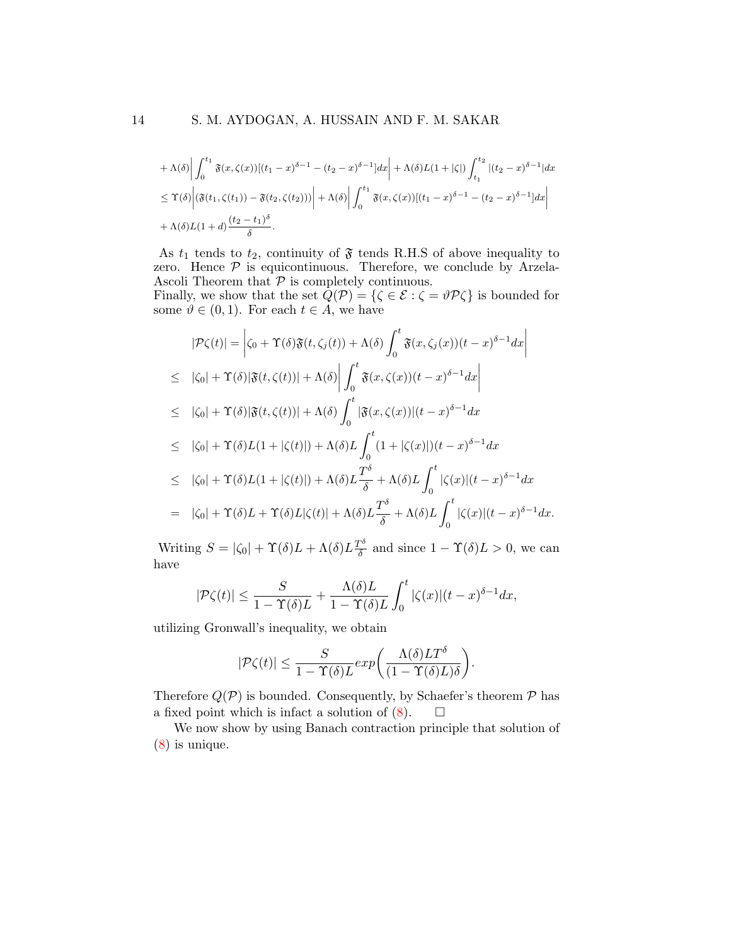$$
+\Lambda(\delta)\left|\int_{0}^{t_1} \mathfrak{F}(x,\zeta(x))[(t_1-x)^{\delta-1}-(t_2-x)^{\delta-1}]dx\right|+\Lambda(\delta)L(1+|\zeta|)\int_{t_1}^{t_2} |(t_2-x)^{\delta-1}|dx
$$
  
\n
$$
\leq \Upsilon(\delta)\left|\left(\mathfrak{F}(t_1,\zeta(t_1))-\mathfrak{F}(t_2,\zeta(t_2))\right)\right|+\Lambda(\delta)\left|\int_{0}^{t_1} \mathfrak{F}(x,\zeta(x))[(t_1-x)^{\delta-1}-(t_2-x)^{\delta-1}]dx\right|
$$
  
\n
$$
+\Lambda(\delta)L(1+d)\frac{(t_2-t_1)^{\delta}}{\delta}.
$$

As  $t_1$  tends to  $t_2$ , continuity of  $\mathfrak F$  tends R.H.S of above inequality to zero. Hence  $P$  is equicontinuous. Therefore, we conclude by Arzela-Ascoli Theorem that  $P$  is completely continuous.

Finally, we show that the set  $Q(\mathcal{P}) = {\{\zeta \in \mathcal{E} : \zeta = \vartheta \mathcal{P} \zeta\}}$  is bounded for some  $\vartheta \in (0,1)$ . For each  $t \in A$ , we have

$$
|\mathcal{P}\zeta(t)| = \left|\zeta_0 + \Upsilon(\delta)\mathfrak{F}(t,\zeta_j(t)) + \Lambda(\delta)\int_0^t \mathfrak{F}(x,\zeta_j(x))(t-x)^{\delta-1}dx\right|
$$
  
\n
$$
\leq |\zeta_0| + \Upsilon(\delta)|\mathfrak{F}(t,\zeta(t))| + \Lambda(\delta)\left|\int_0^t \mathfrak{F}(x,\zeta(x))(t-x)^{\delta-1}dx\right|
$$
  
\n
$$
\leq |\zeta_0| + \Upsilon(\delta)|\mathfrak{F}(t,\zeta(t))| + \Lambda(\delta)\int_0^t |\mathfrak{F}(x,\zeta(x))|(t-x)^{\delta-1}dx
$$

$$
\leq |\zeta_0| + \Upsilon(\delta)L(1+|\zeta(t)|) + \Lambda(\delta)L \int_0^t (1+|\zeta(x)|)(t-x)^{\delta-1} dx
$$

$$
\leq |\zeta_0| + \Upsilon(\delta)L(1+|\zeta(t)|) + \Lambda(\delta)L\frac{T^{\delta}}{\delta} + \Lambda(\delta)L\int_0^t |\zeta(x)|(t-x)^{\delta-1}dx
$$

$$
= |\zeta_0| + \Upsilon(\delta)L + \Upsilon(\delta)L|\zeta(t)| + \Lambda(\delta)L\frac{T^{\delta}}{\delta} + \Lambda(\delta)L\int_0^t |\zeta(x)|(t-x)^{\delta-1}dx.
$$

Writing  $S = |\zeta_0| + \Upsilon(\delta)L + \Lambda(\delta)L\frac{T^{\delta}}{\delta}$  $\frac{\partial^{\alpha}}{\partial \delta}$  and since  $1 - \Upsilon(\delta) L > 0$ , we can have

$$
|\mathcal{P}\zeta(t)| \leq \frac{S}{1-\Upsilon(\delta)L} + \frac{\Lambda(\delta)L}{1-\Upsilon(\delta)L} \int_0^t |\zeta(x)|(t-x)^{\delta-1}dx,
$$

utilizing Gronwall's inequality, we obtain

$$
|\mathcal{P}\zeta(t)| \leq \frac{S}{1-\Upsilon(\delta)L} exp\bigg(\frac{\Lambda(\delta)LT^{\delta}}{(1-\Upsilon(\delta)L)\delta}\bigg).
$$

Therefore  $Q(\mathcal{P})$  is bounded. Consequently, by Schaefer's theorem  $\mathcal P$  has a fixed point which is infact a solution of  $(8)$ .  $\Box$ 

We now show by using Banach contraction principle that solution of [\(8\)](#page-9-0) is unique.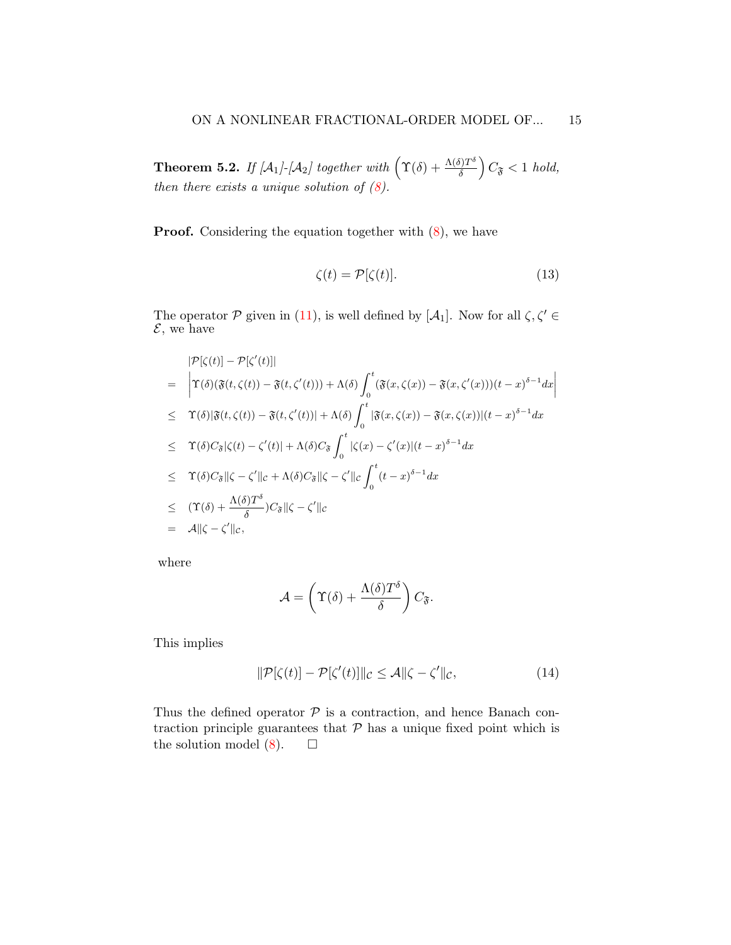**Theorem 5.2.** If  $[A_1]$ - $[A_2]$  together with  $(\Upsilon(\delta) + \frac{\Lambda(\delta)T^{\delta}}{\delta})$  $\left(\frac{\delta T^{\delta}}{\delta}\right) C_{\mathfrak{F}} < 1 \text{ hold},$ then there exists a unique solution of  $(8)$ .

**Proof.** Considering the equation together with  $(8)$ , we have

$$
\zeta(t) = \mathcal{P}[\zeta(t)].\tag{13}
$$

The operator P given in [\(11\)](#page-10-0), is well defined by  $[A_1]$ . Now for all  $\zeta, \zeta' \in$  $\mathcal{E}$ , we have

$$
|\mathcal{P}[\zeta(t)] - \mathcal{P}[\zeta'(t)]|
$$
\n
$$
= \left| \Upsilon(\delta)(\mathfrak{F}(t,\zeta(t)) - \mathfrak{F}(t,\zeta'(t))) + \Lambda(\delta) \int_0^t (\mathfrak{F}(x,\zeta(x)) - \mathfrak{F}(x,\zeta'(x)))(t-x)^{\delta-1} dx \right|
$$
\n
$$
\leq \Upsilon(\delta)|\mathfrak{F}(t,\zeta(t)) - \mathfrak{F}(t,\zeta'(t))| + \Lambda(\delta) \int_0^t |\mathfrak{F}(x,\zeta(x)) - \mathfrak{F}(x,\zeta(x))|(t-x)^{\delta-1} dx
$$
\n
$$
\leq \Upsilon(\delta)C_{\mathfrak{F}}|\zeta(t) - \zeta'(t)| + \Lambda(\delta)C_{\mathfrak{F}} \int_0^t |\zeta(x) - \zeta'(x)|(t-x)^{\delta-1} dx
$$
\n
$$
\leq \Upsilon(\delta)C_{\mathfrak{F}}||\zeta - \zeta'||c + \Lambda(\delta)C_{\mathfrak{F}}||\zeta - \zeta'||c \int_0^t (t-x)^{\delta-1} dx
$$
\n
$$
\leq (\Upsilon(\delta) + \frac{\Lambda(\delta)T^{\delta}}{\delta})C_{\mathfrak{F}}||\zeta - \zeta'||c
$$
\n
$$
= A||\zeta - \zeta'||c,
$$

where

$$
\mathcal{A} = \left(\Upsilon(\delta) + \frac{\Lambda(\delta)T^{\delta}}{\delta}\right)C_{\mathfrak{F}}.
$$

This implies

$$
\|\mathcal{P}[\zeta(t)] - \mathcal{P}[\zeta'(t)]\|_{\mathcal{C}} \le \mathcal{A}\|\zeta - \zeta'\|_{\mathcal{C}},\tag{14}
$$

Thus the defined operator  $P$  is a contraction, and hence Banach contraction principle guarantees that  $P$  has a unique fixed point which is the solution model  $(8)$ .  $\Box$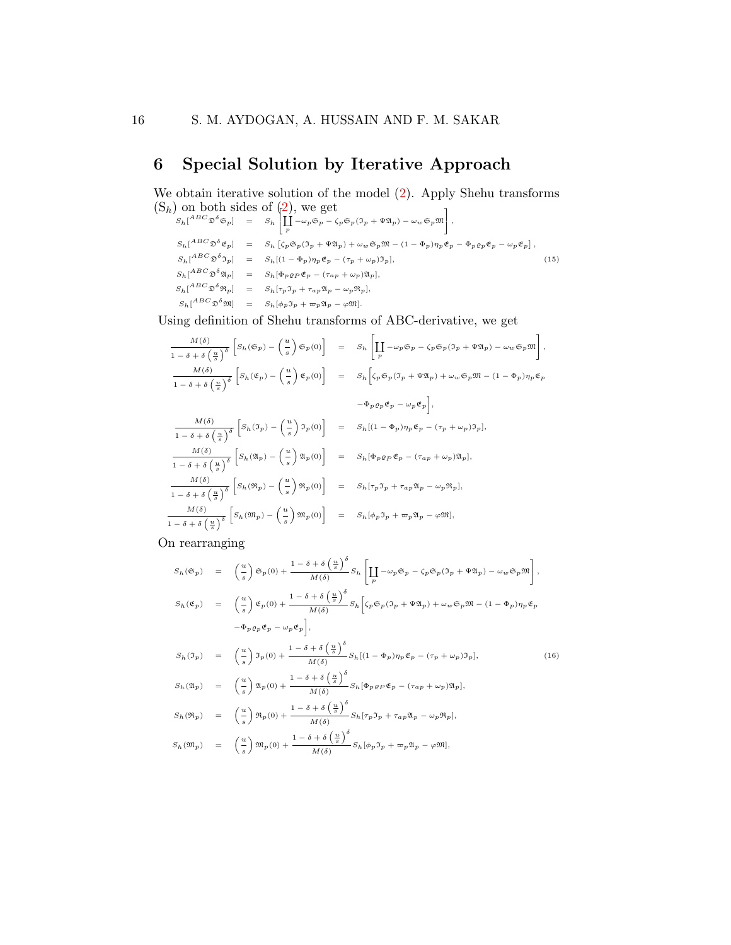# 6 Special Solution by Iterative Approach

We obtain iterative solution of the model  $(2)$ . Apply Shehu transforms  $(S_h)$  on both sides of  $(2)$ , we get  $\overline{1}$ 

$$
S_h[^{ABC}\mathfrak{D}^{\delta}\mathfrak{S}_p] = S_h [ \prod_p \left[ -\omega_p \mathfrak{S}_p - \zeta_p \mathfrak{S}_p (\mathfrak{I}_p + \Psi \mathfrak{A}_p) - \omega_w \mathfrak{S}_p \mathfrak{M} \right],
$$
  
\n
$$
S_h[^{ABC}\mathfrak{D}^{\delta}\mathfrak{C}_p] = S_h [ \zeta_p \mathfrak{S}_p (\mathfrak{I}_p + \Psi \mathfrak{A}_p) + \omega_w \mathfrak{S}_p \mathfrak{M} - (1 - \Phi_p) \eta_p \mathfrak{C}_p - \Phi_p \varrho_p \mathfrak{C}_p - \omega_p \mathfrak{C}_p],
$$
  
\n
$$
S_h[^{ABC}\mathfrak{D}^{\delta}\mathfrak{I}_p] = S_h [(1 - \Phi_p) \eta_p \mathfrak{C}_p - (\tau_p + \omega_p) \mathfrak{I}_p],
$$
  
\n
$$
S_h[^{ABC}\mathfrak{D}^{\delta}\mathfrak{N}_p] = S_h [\Phi_p \varrho_p \mathfrak{C}_p - (\tau_{ap} + \omega_p) \mathfrak{A}_p],
$$
  
\n
$$
S_h[^{ABC}\mathfrak{D}^{\delta}\mathfrak{N}_p] = S_h [\tau_p \mathfrak{I}_p + \tau_{ap} \mathfrak{A}_p - \omega_p \mathfrak{R}_p],
$$
  
\n
$$
S_h[^{ABC}\mathfrak{D}^{\delta}\mathfrak{M}] = S_h [\varphi_p \mathfrak{I}_p + \tau_p \mathfrak{A}_p - \varphi \mathfrak{M}].
$$
  
\n(15)

Using definition of Shehu transforms of ABC-derivative, we get

$$
\frac{M(\delta)}{1-\delta+\delta\left(\frac{u}{s}\right)^{\delta}}\left[S_{h}(\mathfrak{S}_{p})-\left(\frac{u}{s}\right)\mathfrak{S}_{p}(0)\right] = S_{h}\left[\prod_{p}\{-\omega_{p}\mathfrak{S}_{p}-\zeta_{p}\mathfrak{S}_{p}(\mathfrak{I}_{p}+\Psi\mathfrak{A}_{p})-\omega_{w}\mathfrak{S}_{p}\mathfrak{M}\right],
$$
  

$$
\frac{M(\delta)}{1-\delta+\delta\left(\frac{u}{s}\right)^{\delta}}\left[S_{h}(\mathfrak{E}_{p})-\left(\frac{u}{s}\right)\mathfrak{E}_{p}(0)\right] = S_{h}\left[\zeta_{p}\mathfrak{S}_{p}(\mathfrak{I}_{p}+\Psi\mathfrak{A}_{p})+\omega_{w}\mathfrak{S}_{p}\mathfrak{M}-(1-\Phi_{p})\eta_{p}\mathfrak{E}_{p}\right]
$$

$$
-\Phi_{p}\varrho_{p}\mathfrak{E}_{p}-\omega_{p}\mathfrak{E}_{p}\right],
$$
  

$$
\frac{M(\delta)}{1-\delta+\delta\left(\frac{u}{s}\right)^{\delta}}\left[S_{h}(\mathfrak{I}_{p})-\left(\frac{u}{s}\right)\mathfrak{I}_{p}(0)\right] = S_{h}[(1-\Phi_{p})\eta_{p}\mathfrak{E}_{p}-(\tau_{p}+\omega_{p})\mathfrak{I}_{p}],
$$

$$
\frac{M(\delta)}{1-\delta+\delta\left(\frac{u}{s}\right)^{\delta}}\left[S_{h}(\mathfrak{A}_{p})-\left(\frac{u}{s}\right)\mathfrak{A}_{p}(0)\right] = S_{h}[\Phi_{p}\varrho_{p}\mathfrak{E}_{p}-(\tau_{a p}+\omega_{p})\mathfrak{A}_{p}],
$$

$$
\frac{M(\delta)}{1-\delta+\delta\left(\frac{u}{s}\right)^{\delta}}\left[S_{h}(\mathfrak{R}_{p})-\left(\frac{u}{s}\right)\mathfrak{R}_{p}(0)\right] = S_{h}[\tau_{p}\mathfrak{I}_{p}+\tau_{a p}\mathfrak{A}_{p}-\omega_{p}\mathfrak{R}_{p}],
$$

$$
\frac{M(\delta)}{1-\delta+\delta\left(\frac{u}{s}\right)^{\delta}}\left[S_{h}(\mathfrak{M}_{p})-\left(\frac{u}{s}\right)\mathfrak{M}_{p}(
$$

On rearranging

<span id="page-15-0"></span>
$$
S_h(\mathfrak{S}_p) = \left(\frac{u}{s}\right) \mathfrak{S}_p(0) + \frac{1 - \delta + \delta \left(\frac{u}{s}\right)^{\delta}}{M(\delta)} S_h \left[\prod_p -\omega_p \mathfrak{S}_p - \zeta_p \mathfrak{S}_p(\mathfrak{I}_p + \Psi \mathfrak{A}_p) - \omega_w \mathfrak{S}_p \mathfrak{M}\right],
$$
  
\n
$$
S_h(\mathfrak{E}_p) = \left(\frac{u}{s}\right) \mathfrak{E}_p(0) + \frac{1 - \delta + \delta \left(\frac{u}{s}\right)^{\delta}}{M(\delta)} S_h \left[\zeta_p \mathfrak{S}_p(\mathfrak{I}_p + \Psi \mathfrak{A}_p) + \omega_w \mathfrak{S}_p \mathfrak{M} - (1 - \Phi_p)\eta_p \mathfrak{E}_p - \Phi_p \varrho_p \mathfrak{E}_p - \omega_p \mathfrak{E}_p\right],
$$
  
\n
$$
S_h(\mathfrak{I}_p) = \left(\frac{u}{s}\right) \mathfrak{I}_p(0) + \frac{1 - \delta + \delta \left(\frac{u}{s}\right)^{\delta}}{M(\delta)} S_h [(1 - \Phi_p)\eta_p \mathfrak{E}_p - (\tau_p + \omega_p)\mathfrak{I}_p],
$$
  
\n
$$
S_h(\mathfrak{A}_p) = \left(\frac{u}{s}\right) \mathfrak{A}_p(0) + \frac{1 - \delta + \delta \left(\frac{u}{s}\right)^{\delta}}{M(\delta)} S_h [\Phi_p \varrho_p \mathfrak{E}_p - (\tau_{ap} + \omega_p) \mathfrak{A}_p],
$$
  
\n
$$
S_h(\mathfrak{R}_p) = \left(\frac{u}{s}\right) \mathfrak{R}_p(0) + \frac{1 - \delta + \delta \left(\frac{u}{s}\right)^{\delta}}{M(\delta)} S_h [\tau_p \mathfrak{I}_p + \tau_{ap} \mathfrak{A}_p - \omega_p \mathfrak{R}_p],
$$
  
\n
$$
S_h(\mathfrak{M}_p) = \left(\frac{u}{s}\right) \mathfrak{M}_p(0) + \frac{1 - \delta + \delta \left(\frac{u}{s}\right)^{\delta}}{M(\delta)} S_h [\phi_p \mathfrak{I}_p + \tau_{ap} \mathfrak{A
$$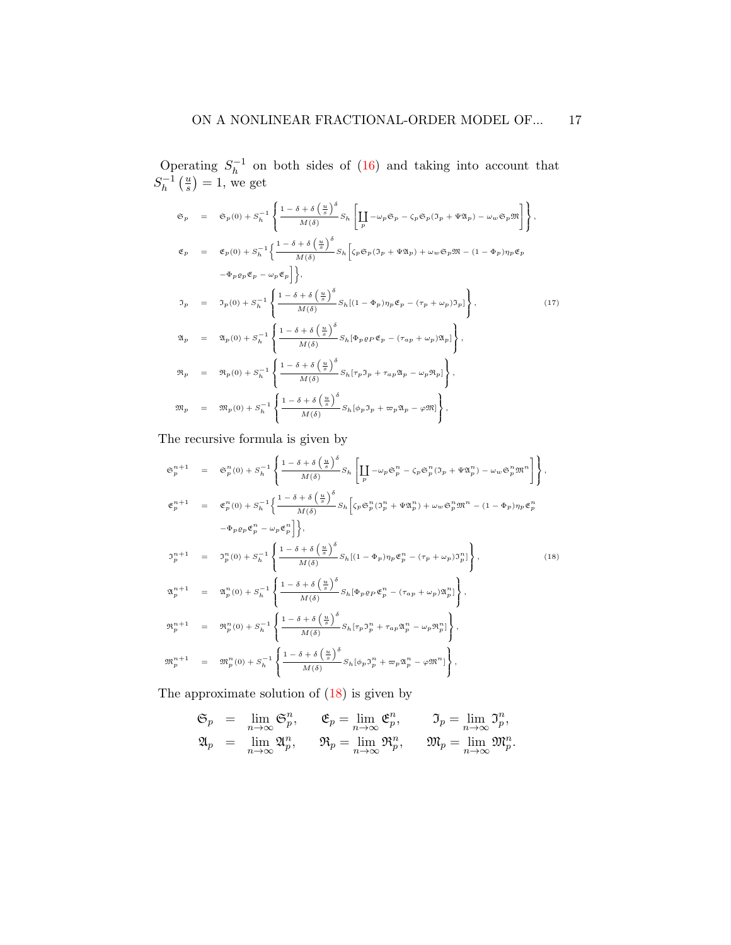Operating  $S_h^{-1}$  $h^{-1}$  on both sides of [\(16\)](#page-15-0) and taking into account that  $S_h^{-1}$  $\frac{-1}{h}$   $\left(\frac{u}{s}\right)$  $\frac{u}{s}$ ) = 1, we get

$$
\mathfrak{S}_{p} = \mathfrak{S}_{p}(0) + S_{h}^{-1} \left\{ \frac{1 - \delta + \delta \left(\frac{u}{s}\right)^{\delta}}{M(\delta)} S_{h} \left[ \prod_{p} -\omega_{p} \mathfrak{S}_{p} - \zeta_{p} \mathfrak{S}_{p} (\mathfrak{I}_{p} + \Psi \mathfrak{A}_{p}) - \omega_{w} \mathfrak{S}_{p} \mathfrak{M} \right] \right\},
$$
\n
$$
\mathfrak{E}_{p} = \mathfrak{E}_{p}(0) + S_{h}^{-1} \left\{ \frac{1 - \delta + \delta \left(\frac{u}{s}\right)^{\delta}}{M(\delta)} S_{h} \left[ \zeta_{p} \mathfrak{S}_{p} (\mathfrak{I}_{p} + \Psi \mathfrak{A}_{p}) + \omega_{w} \mathfrak{S}_{p} \mathfrak{M} - (1 - \Phi_{p}) \eta_{p} \mathfrak{E}_{p} - \Phi_{p} \varrho_{p} \mathfrak{E}_{p} - \omega_{p} \mathfrak{E}_{p} \right] \right\},
$$
\n
$$
\mathfrak{I}_{p} = \mathfrak{I}_{p}(0) + S_{h}^{-1} \left\{ \frac{1 - \delta + \delta \left(\frac{u}{s}\right)^{\delta}}{M(\delta)} S_{h} [(1 - \Phi_{p}) \eta_{p} \mathfrak{E}_{p} - (\tau_{p} + \omega_{p}) \mathfrak{I}_{p}] \right\},
$$
\n
$$
\mathfrak{A}_{p} = \mathfrak{A}_{p}(0) + S_{h}^{-1} \left\{ \frac{1 - \delta + \delta \left(\frac{u}{s}\right)^{\delta}}{M(\delta)} S_{h} [\Phi_{p} \varrho_{p} \mathfrak{E}_{p} - (\tau_{a} - \omega_{p}) \mathfrak{A}_{p}] \right\},
$$
\n
$$
\mathfrak{R}_{p} = \mathfrak{R}_{p}(0) + S_{h}^{-1} \left\{ \frac{1 - \delta + \delta \left(\frac{u}{s}\right)^{\delta}}{M(\delta)} S_{h} [\tau_{p} \mathfrak{I}_{p} + \tau_{a} \mathfrak{A}_{p} - \omega_{p} \mathfrak{R}_{p}] \right\},
$$
\n
$$
\mathfrak{M}_{p} = \mathfrak{M}_{p}(0) + S_{h}^{-1}
$$

The recursive formula is given by

<span id="page-16-0"></span>
$$
\mathfrak{S}_{p}^{n+1} = \mathfrak{S}_{p}^{n}(0) + S_{h}^{-1} \left\{ \frac{1 - \delta + \delta \left(\frac{u}{s}\right)^{\delta}}{M(\delta)} S_{h} \left[ \prod_{p} -\omega_{p} \mathfrak{S}_{p}^{n} - \zeta_{p} \mathfrak{S}_{p}^{n} (\Im_{p} + \Psi \mathfrak{A}_{p}^{n}) - \omega_{w} \mathfrak{S}_{p}^{n} \mathfrak{M}^{n} \right] \right\},
$$
\n
$$
\mathfrak{E}_{p}^{n+1} = \mathfrak{E}_{p}^{n}(0) + S_{h}^{-1} \left\{ \frac{1 - \delta + \delta \left(\frac{u}{s}\right)^{\delta}}{M(\delta)} S_{h} \left[ \zeta_{p} \mathfrak{S}_{p}^{n} (\Im_{p}^{n} + \Psi \mathfrak{A}_{p}^{n}) + \omega_{w} \mathfrak{S}_{p}^{n} \mathfrak{M}^{n} - (1 - \Phi_{p}) \eta_{p} \mathfrak{E}_{p}^{n} - \Phi_{p} \varrho_{p} \mathfrak{E}_{p}^{n} - \Psi_{p} \mathfrak{E}_{p}^{n} \right] \right\},
$$
\n
$$
\mathfrak{I}_{p}^{n+1} = \mathfrak{I}_{p}^{n}(0) + S_{h}^{-1} \left\{ \frac{1 - \delta + \delta \left(\frac{u}{s}\right)^{\delta}}{M(\delta)} S_{h} [(1 - \Phi_{p}) \eta_{p} \mathfrak{E}_{p}^{n} - (\tau_{p} + \omega_{p}) \mathfrak{I}_{p}^{n}] \right\},
$$
\n
$$
\mathfrak{A}_{p}^{n+1} = \mathfrak{A}_{p}^{n}(0) + S_{h}^{-1} \left\{ \frac{1 - \delta + \delta \left(\frac{u}{s}\right)^{\delta}}{M(\delta)} S_{h} [\Phi_{p} \varrho_{p} \mathfrak{E}_{p}^{n} - (\tau_{ap} + \omega_{p}) \mathfrak{A}_{p}^{n}] \right\},
$$
\n
$$
\mathfrak{R}_{p}^{n+1} = \mathfrak{R}_{p}^{n}(0) + S_{h}^{-1} \left\{ \frac{1 - \delta + \delta \left(\frac{u}{s}\right)^{\delta}}{M(\delta)} S_{h} [\tau_{
$$

The approximate solution of [\(18\)](#page-16-0) is given by

$$
\begin{array}{rcll} \mathfrak{S}_p&=&\lim_{n\rightarrow\infty}\mathfrak{S}_p^n,\quad&\mathfrak{E}_p=\lim_{n\rightarrow\infty}\mathfrak{E}_p^n,\quad&\mathfrak{I}_p=\lim_{n\rightarrow\infty}\mathfrak{I}_p^n,\\ \mathfrak{A}_p&=&\lim_{n\rightarrow\infty}\mathfrak{A}_p^n,\quad&\mathfrak{R}_p=\lim_{n\rightarrow\infty}\mathfrak{R}_p^n,\quad&\mathfrak{M}_p=\lim_{n\rightarrow\infty}\mathfrak{M}_p^n. \end{array}
$$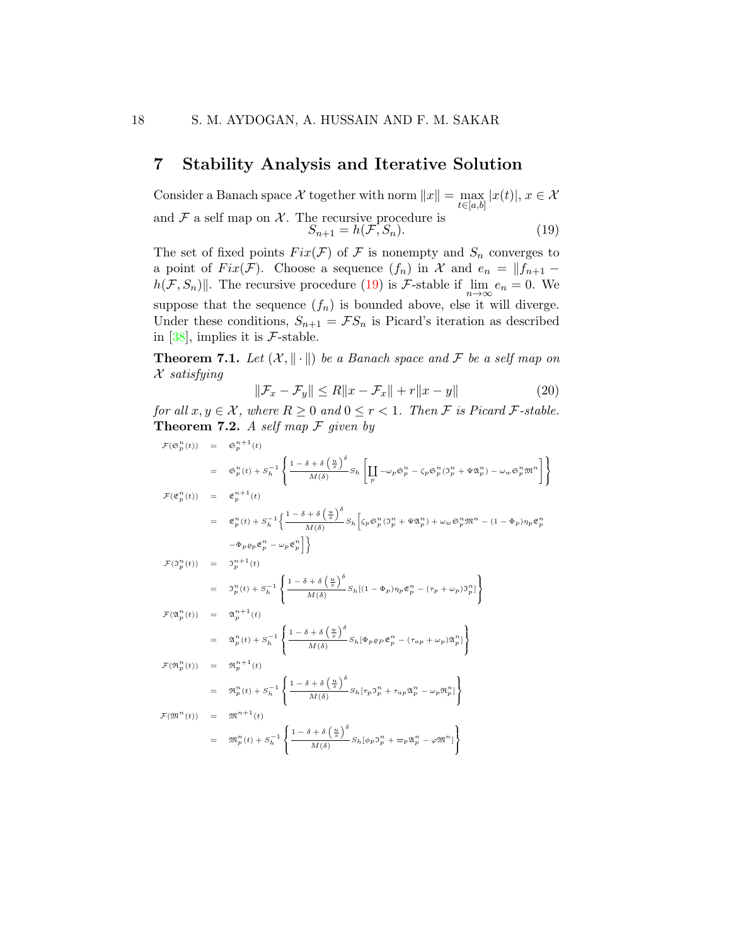### 7 Stability Analysis and Iterative Solution

Consider a Banach space X together with norm  $||x|| = \max_{t \in [a,b]} |x(t)|, x \in \mathcal{X}$ and  $\mathcal F$  a self map on  $\mathcal X$ . The recursive procedure is  $S_{n+1} = h(\mathcal{F}, S_n).$  (19)

<span id="page-17-0"></span>The set of fixed points  $Fix(\mathcal{F})$  of  $\mathcal F$  is nonempty and  $S_n$  converges to a point of  $Fix(\mathcal{F})$ . Choose a sequence  $(f_n)$  in X and  $e_n = ||f_{n+1} - f(x)||$  $h(\mathcal{F}, S_n)$ . The recursive procedure [\(19\)](#page-17-0) is F-stable if  $\lim_{n\to\infty} e_n = 0$ . We suppose that the sequence  $(f_n)$  is bounded above, else it will diverge. Under these conditions,  $S_{n+1} = \mathcal{F}S_n$  is Picard's iteration as described in [\[38\]](#page-30-2), implies it is  $\mathcal{F}\text{-stable}$ .

<span id="page-17-1"></span>**Theorem 7.1.** Let  $(X, \|\cdot\|)$  be a Banach space and F be a self map on  $\mathcal X$  satisfying

$$
\|\mathcal{F}_x - \mathcal{F}_y\| \le R\|x - \mathcal{F}_x\| + r\|x - y\| \tag{20}
$$

for all  $x, y \in \mathcal{X}$ , where  $R \geq 0$  and  $0 \leq r < 1$ . Then F is Picard F-stable. **Theorem 7.2.** A self map  $\mathcal F$  given by

$$
\mathcal{F}(\mathfrak{S}_{p}^{n}(t)) = \mathfrak{S}_{p}^{n+1}(t)
$$
\n
$$
= \mathfrak{S}_{p}^{n}(t) + S_{h}^{-1} \left\{ \frac{1 - \delta + \delta\left(\frac{u}{s}\right)^{\delta}}{M(\delta)} S_{h} \left[ \prod_{p} -\omega_{p} \mathfrak{S}_{p}^{n} - \zeta_{p} \mathfrak{S}_{p}^{n} (\mathfrak{I}_{p}^{n} + \Psi \mathfrak{A}_{p}^{n}) - \omega_{w} \mathfrak{S}_{p}^{n} \mathfrak{M}^{n} \right] \right\}
$$
\n
$$
\mathcal{F}(\mathfrak{C}_{p}^{n}(t)) = \mathfrak{C}_{p}^{n+1}(t)
$$
\n
$$
= \mathfrak{C}_{p}^{n}(t) + S_{h}^{-1} \left\{ \frac{1 - \delta + \delta\left(\frac{u}{s}\right)^{\delta}}{M(\delta)} S_{h} \left[ \zeta_{p} \mathfrak{S}_{p}^{n} (\mathfrak{I}_{p}^{n} + \Psi \mathfrak{A}_{p}^{n}) + \omega_{w} \mathfrak{S}_{p}^{n} \mathfrak{M}^{n} - (1 - \Phi_{p}) \eta_{p} \mathfrak{C}_{p}^{n} - \Phi_{p} \rho_{p} \mathfrak{C}_{p}^{n} - \omega_{p} \mathfrak{C}_{p}^{n} \right] \right\}
$$
\n
$$
\mathcal{F}(\mathfrak{I}_{p}^{n}(t)) = \mathfrak{I}_{p}^{n+1}(t)
$$
\n
$$
= \mathfrak{I}_{p}^{n}(t) + S_{h}^{-1} \left\{ \frac{1 - \delta + \delta\left(\frac{u}{s}\right)^{\delta}}{M(\delta)} S_{h} \left[ (1 - \Phi_{p}) \eta_{p} \mathfrak{C}_{p}^{n} - (\tau_{p} + \omega_{p}) \mathfrak{I}_{p}^{n} \right] \right\}
$$
\n
$$
\mathcal{F}(\mathfrak{A}_{p}^{n}(t)) = \mathfrak{A}_{p}^{n+1}(t)
$$
\n
$$
= \mathfrak{A}_{p}^{n}(t) + S_{h}^{-1} \left\{ \frac{1 - \delta + \delta\left(\frac{u}{s}\right)^{\delta}}{M(\delta)}
$$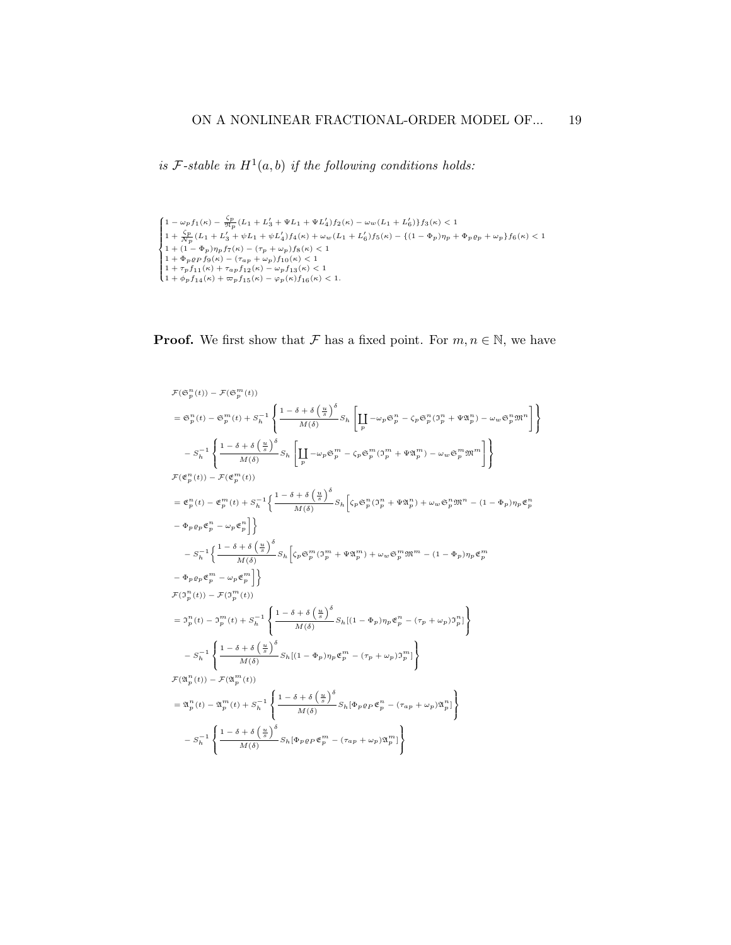is F-stable in  $H^1(a, b)$  if the following conditions holds:

$$
\begin{cases} 1 - \omega_p f_1(\kappa) - \frac{\zeta_p}{\mathfrak{N}_p} (L_1 + L_3' + \Psi L_1 + \Psi L_4') f_2(\kappa) - \omega_w (L_1 + L_6') \} f_3(\kappa) < 1 \\ 1 + \frac{\zeta_p}{\mathfrak{N}_p} (L_1 + L_3' + \psi L_1 + \psi L_4') f_4(\kappa) + \omega_w (L_1 + L_6') f_5(\kappa) - \{ (1 - \Phi_p) \eta_p + \Phi_p \varrho_p + \omega_p \} f_6(\kappa) < 1 \\ 1 + (1 - \Phi_p) \eta_p f_7(\kappa) - (\tau_p + \omega_p) f_8(\kappa) < 1 \\ 1 + \Phi_p \varrho_p f_9(\kappa) - (\tau_{ap} + \omega_p) f_{10}(\kappa) < 1 \\ 1 + \tau_p f_{11}(\kappa) + \tau_{ap} f_{12}(\kappa) - \omega_p f_{13}(\kappa) < 1 \\ 1 + \phi_p f_{14}(\kappa) + \varpi_p f_{15}(\kappa) - \varphi_p(\kappa) f_{16}(\kappa) < 1. \end{cases}
$$

**Proof.** We first show that F has a fixed point. For  $m, n \in \mathbb{N}$ , we have

 $\mathfrak{f}$ J

$$
\begin{split} &\mathcal{F}(\mathfrak{S}_{p}^{n}(t))-\mathcal{F}(\mathfrak{S}_{p}^{m}(t))\\ &=\mathfrak{S}_{p}^{n}(t)-\mathfrak{S}_{p}^{m}(t)+S_{h}^{-1}\left\{\frac{1-\delta+\delta\left(\frac{u}{s}\right)^{\delta}}{M(\delta)}S_{h}\left[\prod_{p}-\omega_{p}\mathfrak{S}_{p}^{n}-\zeta_{p}\mathfrak{S}_{p}^{n}(\mathfrak{I}_{p}^{n}+\Psi\mathfrak{A}_{p}^{n})-\omega_{w}\mathfrak{S}_{p}^{n}\mathfrak{M}^{n}\right]\right.\\ &\left.-S_{h}^{-1}\left\{\frac{1-\delta+\delta\left(\frac{u}{s}\right)^{\delta}}{M(\delta)}S_{h}\left[\prod_{p}-\omega_{p}\mathfrak{S}_{p}^{m}-\zeta_{p}\mathfrak{S}_{p}^{m}(\mathfrak{I}_{p}^{m}+\Psi\mathfrak{A}_{p}^{m})-\omega_{w}\mathfrak{S}_{p}^{m}\mathfrak{M}^{m}\right]\right\}\\ &\mathcal{F}(\mathfrak{E}_{p}^{n}(t))-\mathcal{F}(\mathfrak{E}_{p}^{m}(t))\\ &=\mathfrak{E}_{p}^{n}(t)-\mathfrak{E}_{p}^{m}(t)+S_{h}^{-1}\left\{\frac{1-\delta+\delta\left(\frac{u}{s}\right)^{\delta}}{M(\delta)}S_{h}\left[\zeta_{p}\mathfrak{S}_{p}^{n}(\mathfrak{I}_{p}^{n}+\Psi\mathfrak{A}_{p}^{n})+\omega_{w}\mathfrak{S}_{p}^{n}\mathfrak{M}^{n}-(1-\Phi_{p})\eta_{p}\mathfrak{E}_{p}^{n}\right.\right.\\ &\left.-\Phi_{p}\varrho_{p}\mathfrak{E}_{p}^{n}-\omega_{p}\mathfrak{E}_{p}^{m}\right]\right\}\\ &\left.-S_{h}^{-1}\left\{\frac{1-\delta+\delta\left(\frac{u}{s}\right)^{\delta}}{M(\delta)}S_{h}\left[\zeta_{p}\mathfrak{S}_{p}^{m}(\mathfrak{I}_{p}^{m}+\Psi\mathfrak{A}_{p}^{m})+\omega_{w}\mathfrak{S}_{p}^{m}\mathfrak{M}^{m}-(1-\Phi_{p})\eta_{p}\mathfrak{E}_{p}^{m}\right.\right.\\ &\left.\left.-\Phi_{p}\varrho_{p
$$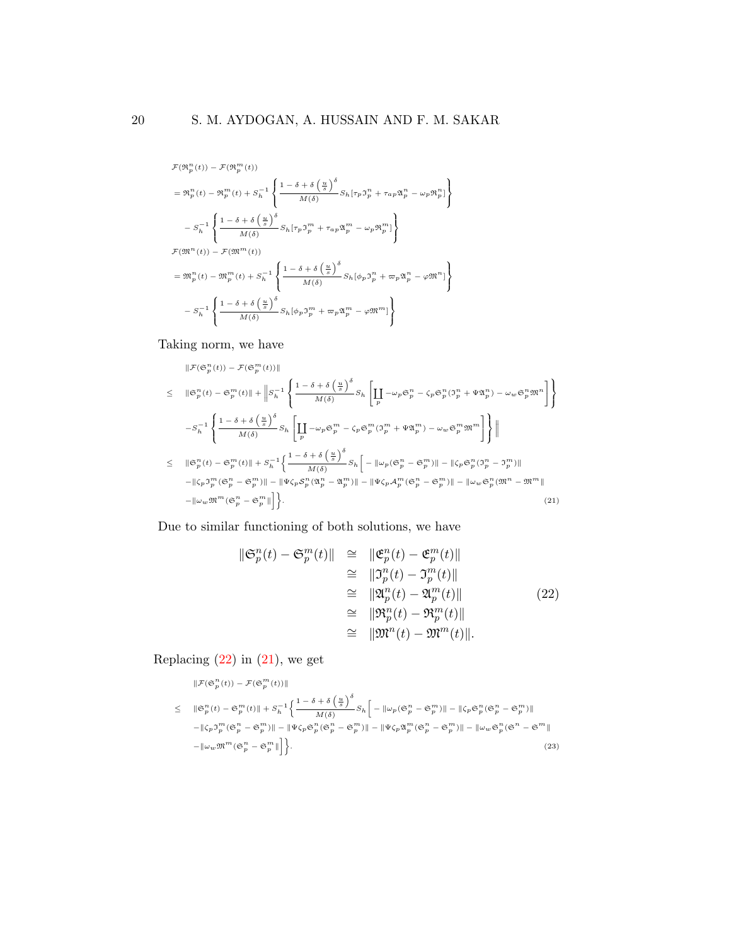$$
\begin{split} &\mathcal{F}(\mathfrak{R}_{p}^{n}(t))-\mathcal{F}(\mathfrak{R}_{p}^{m}(t))\\ &=\mathfrak{R}_{p}^{n}(t)-\mathfrak{R}_{p}^{m}(t)+S_{h}^{-1}\left\{\frac{1-\delta+\delta\left(\frac{u}{s}\right)^{\delta}}{M(\delta)}S_{h}[\tau_{p}\mathfrak{I}_{p}^{n}+\tau_{a p}\mathfrak{A}_{p}^{n}-\omega_{p}\mathfrak{R}_{p}^{n}]\right\}\\ &-S_{h}^{-1}\left\{\frac{1-\delta+\delta\left(\frac{u}{s}\right)^{\delta}}{M(\delta)}S_{h}[\tau_{p}\mathfrak{I}_{p}^{m}+\tau_{a p}\mathfrak{A}_{p}^{m}-\omega_{p}\mathfrak{R}_{p}^{m}]\right\}\\ &\mathcal{F}(\mathfrak{M}^{n}(t))-\mathcal{F}(\mathfrak{M}^{m}(t))\\ &=\mathfrak{M}_{p}^{n}(t)-\mathfrak{M}_{p}^{m}(t)+S_{h}^{-1}\left\{\frac{1-\delta+\delta\left(\frac{u}{s}\right)^{\delta}}{M(\delta)}S_{h}[\phi_{p}\mathfrak{I}_{p}^{n}+\varpi_{p}\mathfrak{A}_{p}^{n}-\varphi\mathfrak{M}^{n}]\right\}\\ &-S_{h}^{-1}\left\{\frac{1-\delta+\delta\left(\frac{u}{s}\right)^{\delta}}{M(\delta)}S_{h}[\phi_{p}\mathfrak{I}_{p}^{m}+\varpi_{p}\mathfrak{A}_{p}^{m}-\varphi\mathfrak{M}^{n}]\right\}\\ \end{split}
$$

Taking norm, we have

<span id="page-19-1"></span>
$$
\|\mathcal{F}(\mathfrak{S}_{p}^{n}(t)) - \mathcal{F}(\mathfrak{S}_{p}^{m}(t))\|
$$
\n
$$
\leq \|\mathfrak{S}_{p}^{n}(t) - \mathfrak{S}_{p}^{m}(t)\| + \|S_{h}^{-1}\left\{\frac{1-\delta+\delta\left(\frac{u}{s}\right)^{\delta}}{M(\delta)}S_{h}\left[\prod_{p} -\omega_{p}\mathfrak{S}_{p}^{n} - \zeta_{p}\mathfrak{S}_{p}^{n}(\mathfrak{I}_{p}^{n} + \Psi\mathfrak{A}_{p}^{n}) - \omega_{w}\mathfrak{S}_{p}^{n}\mathfrak{M}^{n}\right]\right\}
$$
\n
$$
-S_{h}^{-1}\left\{\frac{1-\delta+\delta\left(\frac{u}{s}\right)^{\delta}}{M(\delta)}S_{h}\left[\prod_{p} -\omega_{p}\mathfrak{S}_{p}^{m} - \zeta_{p}\mathfrak{S}_{p}^{m}(\mathfrak{I}_{p}^{m} + \Psi\mathfrak{A}_{p}^{m}) - \omega_{w}\mathfrak{S}_{p}^{m}\mathfrak{M}^{m}\right]\right\}\|
$$
\n
$$
\leq \|\mathfrak{S}_{p}^{n}(t) - \mathfrak{S}_{p}^{m}(t)\| + S_{h}^{-1}\left\{\frac{1-\delta+\delta\left(\frac{u}{s}\right)^{\delta}}{M(\delta)}S_{h}\left[-\|\omega_{p}(\mathfrak{S}_{p}^{n} - \mathfrak{S}_{p}^{m})\| - \|\zeta_{p}\mathfrak{S}_{p}^{n}(\mathfrak{I}_{p}^{n} - \mathfrak{I}_{p}^{m})\| - \|\zeta_{p}\mathfrak{S}_{p}^{n}(\mathfrak{I}_{p}^{n} - \mathfrak{I}_{p}^{m})\| - \|\omega_{w}\mathfrak{S}_{p}^{m}(\mathfrak{S}_{p}^{n} - \mathfrak{S}_{p}^{m})\| - \|\omega_{w}\mathfrak{S}_{p}^{m}(\mathfrak{M}_{p}^{n} - \mathfrak{S}_{p}^{m})\| - \|\omega_{w}\mathfrak{S}_{p}^{n}(\mathfrak{M}^{n} - \mathfrak{M}^{m})\| - \|\omega_{w}\mathfrak{S}_{p}^{n}(\mathfrak{M}^{n} - \mathfrak{M}^{m})\
$$

Due to similar functioning of both solutions, we have

<span id="page-19-0"></span>
$$
\begin{aligned}\n\|\mathfrak{S}_p^n(t) - \mathfrak{S}_p^m(t)\| &\cong \|\mathfrak{E}_p^n(t) - \mathfrak{E}_p^m(t)\| \\
&\cong \|\mathfrak{I}_p^n(t) - \mathfrak{I}_p^m(t)\| \\
&\cong \|\mathfrak{A}_p^n(t) - \mathfrak{A}_p^m(t)\| \\
&\cong \|\mathfrak{R}_p^n(t) - \mathfrak{R}_p^m(t)\| \\
&\cong \|\mathfrak{M}^n(t) - \mathfrak{M}^m(t)\|.\n\end{aligned}
$$
\n(22)

Replacing  $(22)$  in  $(21)$ , we get

<span id="page-19-2"></span>
$$
\|\mathcal{F}(\mathfrak{S}_p^n(t)) - \mathcal{F}(\mathfrak{S}_p^m(t))\|
$$
  
\n
$$
\leq \|\mathfrak{S}_p^n(t) - \mathfrak{S}_p^m(t)\| + S_h^{-1} \Big\{ \frac{1 - \delta + \delta \left(\frac{u}{s}\right)^{\delta}}{M(\delta)} S_h \Big[ -\|\omega_p(\mathfrak{S}_p^n - \mathfrak{S}_p^m)\| - \|\zeta_p \mathfrak{S}_p^n(\mathfrak{S}_p^n - \mathfrak{S}_p^m)\|
$$
  
\n
$$
- \|\zeta_p \mathfrak{I}_p^m(\mathfrak{S}_p^n - \mathfrak{S}_p^m)\| - \|\Psi \zeta_p \mathfrak{S}_p^n(\mathfrak{S}_p^n - \mathfrak{S}_p^m)\| - \|\Psi \zeta_p \mathfrak{A}_p^m(\mathfrak{S}_p^n - \mathfrak{S}_p^m)\| - \|\omega_w \mathfrak{S}_p^n(\mathfrak{S}^n - \mathfrak{S}^m)\|
$$
  
\n
$$
- \|\omega_w \mathfrak{M}^m(\mathfrak{S}_p^n - \mathfrak{S}_p^m)\| \Big\}. \tag{23}
$$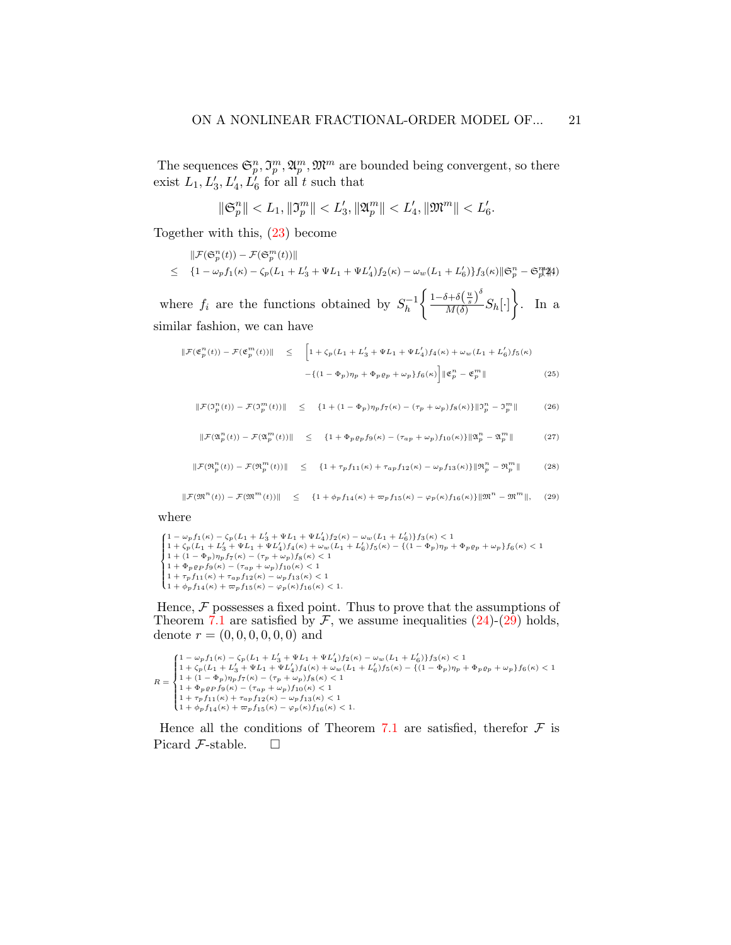The sequences  $\mathfrak{S}_p^n, \mathfrak{I}_p^m, \mathfrak{A}_p^m, \mathfrak{M}^m$  are bounded being convergent, so there exist  $L_1, L'_3, L'_4, L'_6$  for all t such that

$$
\|\mathfrak{S}_p^n\| < L_1, \|\mathfrak{I}_p^m\| < L_3', \|\mathfrak{A}_p^m\| < L_4', \|\mathfrak{M}^m\| < L_6'.
$$

Together with this, [\(23\)](#page-19-2) become

<span id="page-20-0"></span>
$$
\begin{aligned} &\|\mathcal{F}(\mathfrak{S}_p^n(t)) - \mathcal{F}(\mathfrak{S}_p^m(t))\| \\ &\leq \quad \{1 - \omega_p f_1(\kappa) - \zeta_p(L_1 + L_3' + \Psi L_1 + \Psi L_4') f_2(\kappa) - \omega_w(L_1 + L_6')\} f_3(\kappa) \|\mathfrak{S}_p^n - \mathfrak{S}_p^m\|4 \end{aligned}
$$

where  $f_i$  are the functions obtained by  $S_h^{-1}$ h  $\int \frac{1-\delta+\delta(\frac{u}{s})^{\delta}}{s}$  $\frac{\delta + \delta\left(\frac{u}{s}\right)^{\delta}}{M(\delta)} S_h[\cdot]$ . In a similar fashion, we can have

$$
\|\mathcal{F}(\mathfrak{E}_p^n(t)) - \mathcal{F}(\mathfrak{E}_p^m(t))\| \leq \left[1 + \zeta_p(L_1 + L_3' + \Psi L_1 + \Psi L_4')f_4(\kappa) + \omega_w(L_1 + L_6')f_5(\kappa) - \left\{(1 - \Phi_p)\eta_p + \Phi_p\varrho_p + \omega_p\right\}f_6(\kappa)\right] \|\mathfrak{E}_p^n - \mathfrak{E}_p^m\| \tag{25}
$$

 $\|\mathcal{F}(\mathfrak{I}_{p}^{n}(t)) - \mathcal{F}(\mathfrak{I}_{p}^{m}(t))\| \leq \{1 + (1 - \Phi_{p})\eta_{p}f_{7}(\kappa) - (\tau_{p} + \omega_{p})f_{8}(\kappa)\}\|\mathfrak{I}_{p}^{n} - \mathfrak{I}_{p}^{m}$  $(26)$ 

$$
\|\mathcal{F}(\mathfrak{A}_p^n(t)) - \mathcal{F}(\mathfrak{A}_p^m(t))\| \leq \{1 + \Phi_p \varrho_p f_9(\kappa) - (\tau_{ap} + \omega_p) f_{10}(\kappa)\} \|\mathfrak{A}_p^n - \mathfrak{A}_p^m\|
$$
 (27)

 $\|\mathcal{F}(\mathfrak{R}_p^n(t)) - \mathcal{F}(\mathfrak{R}_p^m(t))\|$   $\leq$   $\{1 + \tau_p f_{11}(\kappa) + \tau_{ap} f_{12}(\kappa) - \omega_p f_{13}(\kappa)\} \|\mathfrak{R}_p^n - \mathfrak{R}_p^m$  $(28)$ 

<span id="page-20-1"></span>
$$
\|\mathcal{F}(\mathfrak{M}^n(t)) - \mathcal{F}(\mathfrak{M}^m(t))\| \leq \{1 + \phi_p f_{14}(\kappa) + \varpi_p f_{15}(\kappa) - \varphi_p(\kappa) f_{16}(\kappa)\}\|\mathfrak{M}^n - \mathfrak{M}^m\|,
$$
 (29)

where

 $\begin{cases} 1 - w_p f_1(\kappa) - \zeta_p(L_1 + L_3' + \Psi L_1 + \Psi L_4') f_2(\kappa) - w_w (L_1 + L_6') \} f_3(\kappa) < 1 \\ 1 + \zeta_p(L_1 + L_3' + \Psi L_1 + \Psi L_4') f_4(\kappa) + w_w (L_1 + L_6') f_5(\kappa) - \{(1 - \Phi_p) \eta_p + \Phi_p \varrho_p + \omega_p\} f_6(\kappa) < 1 \\ 1 + (1 - \Phi_p) \eta_p f_7(\kappa) - (\tau_p + \omega_p) f_8(\kappa) < 1 \end{cases}$  $1 + \tau_p f_{11}(\kappa) + \tau_{ap} f_{12}(\kappa) - \omega_p f_{13}(\kappa) < 1$ <br> $1 + \phi_p f_{14}(\kappa) + \varpi_p f_{15}(\kappa) - \varphi_p(\kappa) f_{16}(\kappa) < 1.$  $1 + (1 - \Phi_p) \eta_p f_7(\kappa) - (\tau_p + \omega_p) f_8(\kappa) < 1$  $1 + \Phi_p \varrho_P f_9(\kappa) - (\tau_{ap} + \omega_p) f_{10}(\kappa) < 1$  $1 + \tau_p f_{11}(\kappa) + \tau_{ap} f_{12}(\kappa) - \omega_p f_{13}(\kappa) < 1$ 

Hence,  $\mathcal F$  possesses a fixed point. Thus to prove that the assumptions of Theorem [7.1](#page-17-1) are satisfied by  $\mathcal F$ , we assume inequalities [\(24\)](#page-20-0)-[\(29\)](#page-20-1) holds, denote  $r = (0, 0, 0, 0, 0, 0)$  and

```
R = \begin{cases} \end{cases}\begin{aligned} &\left(1-\omega_{p}f_{1}(\kappa)-\zeta_{p}(L_{1}+L_{3}'+\Psi L_{1}+\Psi L_{4}')f_{2}(\kappa)-\omega_{w}(L_{1}+L_{6}')\}f_{3}(\kappa)<1\right.\\ &\left.1+\zeta_{p}(L_{1}+L_{3}'+\Psi L_{1}+\Psi L_{4}')f_{4}(\kappa)+\omega_{w}(L_{1}+L_{6}')f_{5}(\kappa)-\{(1-\Phi_{p})\eta_{p}+\Phi_{p}\varrho_{p}+\omega_{p}\}f_{6}(\kappa)<1\right. \end{aligned}\overline{\mathcal{L}}1 + (1 - \Phi_p) \eta_p f_7(\kappa) - (\tau_p + \omega_p) f_8(\kappa) < 11 + \Phi_p \varrho_P f_9(\kappa) - (\tau_{ap} + \omega_p) f_{10}(\kappa) < 11 + \tau_p f_{11}(\kappa) + \tau_{ap} f_{12}(\kappa) - \omega_p f_{13}(\kappa) < 11 + \phi_p f_{14}(\kappa) + \varpi_p f_{15}(\kappa) - \varphi_p(\kappa) f_{16}(\kappa) < 1.
```
Hence all the conditions of Theorem [7.1](#page-17-1) are satisfied, therefor  $\mathcal F$  is Picard  $\mathcal{F}$ -stable.  $\Box$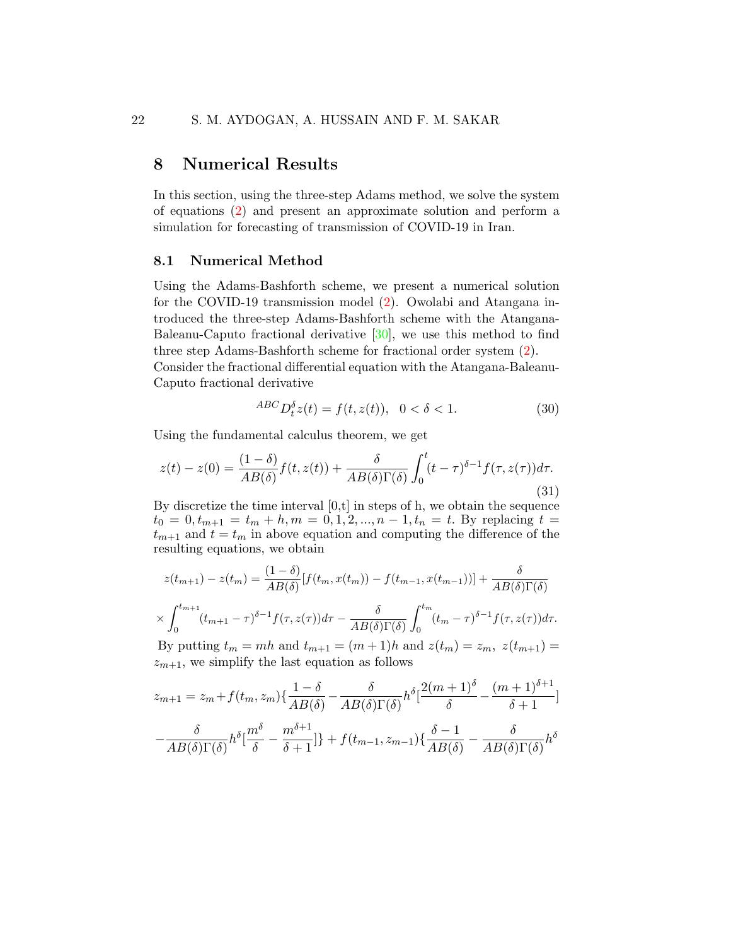### 8 Numerical Results

In this section, using the three-step Adams method, we solve the system of equations [\(2\)](#page-4-1) and present an approximate solution and perform a simulation for forecasting of transmission of COVID-19 in Iran.

#### 8.1 Numerical Method

Using the Adams-Bashforth scheme, we present a numerical solution for the COVID-19 transmission model [\(2\)](#page-4-1). Owolabi and Atangana introduced the three-step Adams-Bashforth scheme with the Atangana-Baleanu-Caputo fractional derivative  $[30]$ , we use this method to find three step Adams-Bashforth scheme for fractional order system [\(2\)](#page-4-1).

Consider the fractional differential equation with the Atangana-Baleanu-Caputo fractional derivative

$$
^{ABC}D_t^{\delta}z(t) = f(t, z(t)), \quad 0 < \delta < 1.
$$
 (30)

Using the fundamental calculus theorem, we get

$$
z(t) - z(0) = \frac{(1 - \delta)}{AB(\delta)} f(t, z(t)) + \frac{\delta}{AB(\delta)\Gamma(\delta)} \int_0^t (t - \tau)^{\delta - 1} f(\tau, z(\tau)) d\tau.
$$
\n(31)

By discretize the time interval  $[0,t]$  in steps of h, we obtain the sequence  $t_0 = 0, t_{m+1} = t_m + h, m = 0, 1, 2, ..., n-1, t_n = t$ . By replacing  $t =$  $t_{m+1}$  and  $t = t_m$  in above equation and computing the difference of the resulting equations, we obtain

$$
z(t_{m+1}) - z(t_m) = \frac{(1-\delta)}{AB(\delta)} [f(t_m, x(t_m)) - f(t_{m-1}, x(t_{m-1}))] + \frac{\delta}{AB(\delta)\Gamma(\delta)}
$$

$$
\times \int_0^{t_{m+1}} (t_{m+1} - \tau)^{\delta-1} f(\tau, z(\tau)) d\tau - \frac{\delta}{AB(\delta)\Gamma(\delta)} \int_0^{t_m} (t_m - \tau)^{\delta-1} f(\tau, z(\tau)) d\tau.
$$

By putting  $t_m = mh$  and  $t_{m+1} = (m+1)h$  and  $z(t_m) = z_m$ ,  $z(t_{m+1}) =$  $z_{m+1}$ , we simplify the last equation as follows

$$
z_{m+1} = z_m + f(t_m, z_m) \left\{ \frac{1 - \delta}{AB(\delta)} - \frac{\delta}{AB(\delta)\Gamma(\delta)} h^{\delta} \left[ \frac{2(m+1)^{\delta}}{\delta} - \frac{(m+1)^{\delta+1}}{\delta+1} \right] \right\}
$$

$$
- \frac{\delta}{AB(\delta)\Gamma(\delta)} h^{\delta} \left[ \frac{m^{\delta}}{\delta} - \frac{m^{\delta+1}}{\delta+1} \right] + f(t_{m-1}, z_{m-1}) \left\{ \frac{\delta - 1}{AB(\delta)} - \frac{\delta}{AB(\delta)\Gamma(\delta)} h^{\delta} \right\}
$$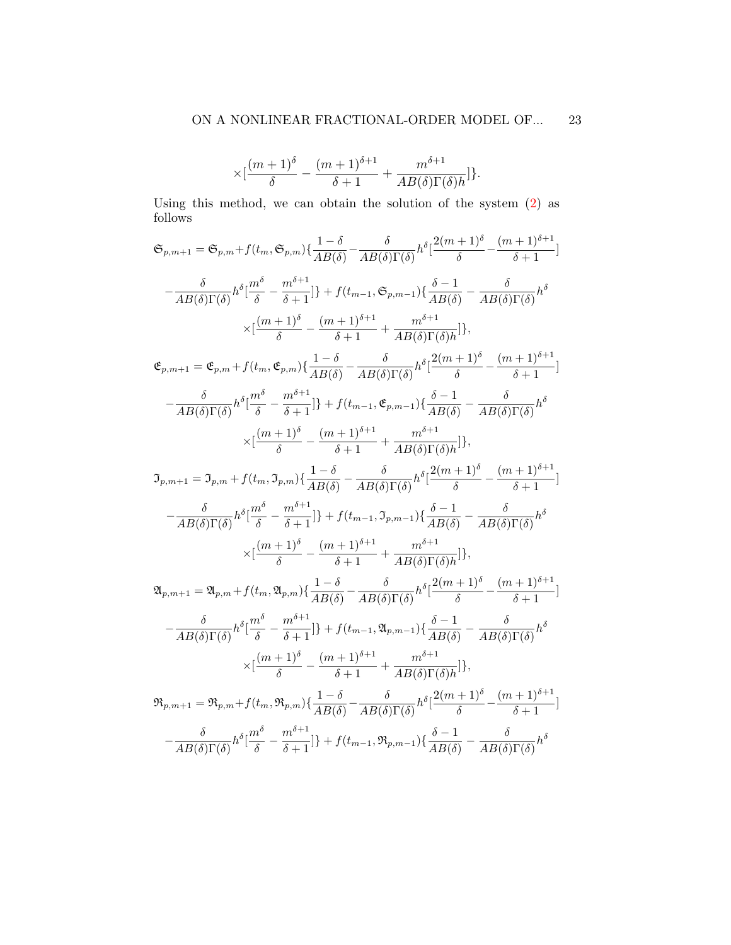$$
\times [\frac{(m+1)^{\delta}}{\delta}-\frac{(m+1)^{\delta+1}}{\delta+1}+\frac{m^{\delta+1}}{AB(\delta)\Gamma(\delta)h}]\}.
$$

Using this method, we can obtain the solution of the system [\(2\)](#page-4-1) as follows

$$
\mathfrak{S}_{p,m+1} = \mathfrak{S}_{p,m} + f(t_m, \mathfrak{S}_{p,m}) \{ \frac{1-\delta}{AB(\delta)} - \frac{\delta}{AB(\delta)\Gamma(\delta)} h^{\delta} [\frac{2(m+1)^{\delta}}{\delta} - \frac{(m+1)^{\delta+1}}{AB(\delta)\Gamma(\delta)} h^{\delta} ] \}
$$
  
\n
$$
- \frac{\delta}{AB(\delta)\Gamma(\delta)} h^{\delta} [\frac{m^{\delta}}{\delta} - \frac{m^{\delta+1}}{\delta+1}] \} + f(t_{m-1}, \mathfrak{S}_{p,m-1}) \{ \frac{\delta-1}{AB(\delta)} - \frac{\delta}{AB(\delta)\Gamma(\delta)} h^{\delta} \}
$$
  
\n
$$
\times [\frac{(m+1)^{\delta}}{\delta} - \frac{(m+1)^{\delta+1}}{\delta+1} + \frac{m^{\delta+1}}{AB(\delta)\Gamma(\delta)} h^{\delta} ] \}
$$
  
\n
$$
\mathfrak{E}_{p,m+1} = \mathfrak{E}_{p,m} + f(t_m, \mathfrak{E}_{p,m}) \{ \frac{1-\delta}{AB(\delta)} - \frac{\delta}{AB(\delta)\Gamma(\delta)} h^{\delta} [\frac{2(m+1)^{\delta}}{\delta} - \frac{(m+1)^{\delta+1}}{\delta+1} ]
$$
  
\n
$$
- \frac{\delta}{AB(\delta)\Gamma(\delta)} h^{\delta} [\frac{m^{\delta}}{\delta} - \frac{m^{\delta+1}}{\delta+1}] \} + f(t_{m-1}, \mathfrak{E}_{p,m-1}) \{ \frac{\delta-1}{AB(\delta)} - \frac{\delta}{AB(\delta)\Gamma(\delta)} h^{\delta} \}
$$
  
\n
$$
\times [\frac{(m+1)^{\delta}}{\delta} - \frac{(m+1)^{\delta+1}}{\delta+1} + \frac{m^{\delta+1}}{AB(\delta)\Gamma(\delta)} h^{\delta}] \}
$$
  
\n
$$
\mathfrak{I}_{p,m+1} = \mathfrak{I}_{p,m} + f(t_m, \mathfrak{I}_{p,m}) \{ \frac{1-\delta}{AB(\delta)} - \frac{\delta}{AB(\delta)\Gamma(\delta)} h^{\delta} [\frac{2(m+1)^{\delta}}{\delta} - \frac{(m+1)^{\delta+1}}{\delta+1} ]
$$
  
\n
$$
- \frac{\delta}{AB(\delta)\Gamma(\delta)} h^{\delta} [\frac{m^{\delta}}{\delta} - \frac{m^{\delta+1
$$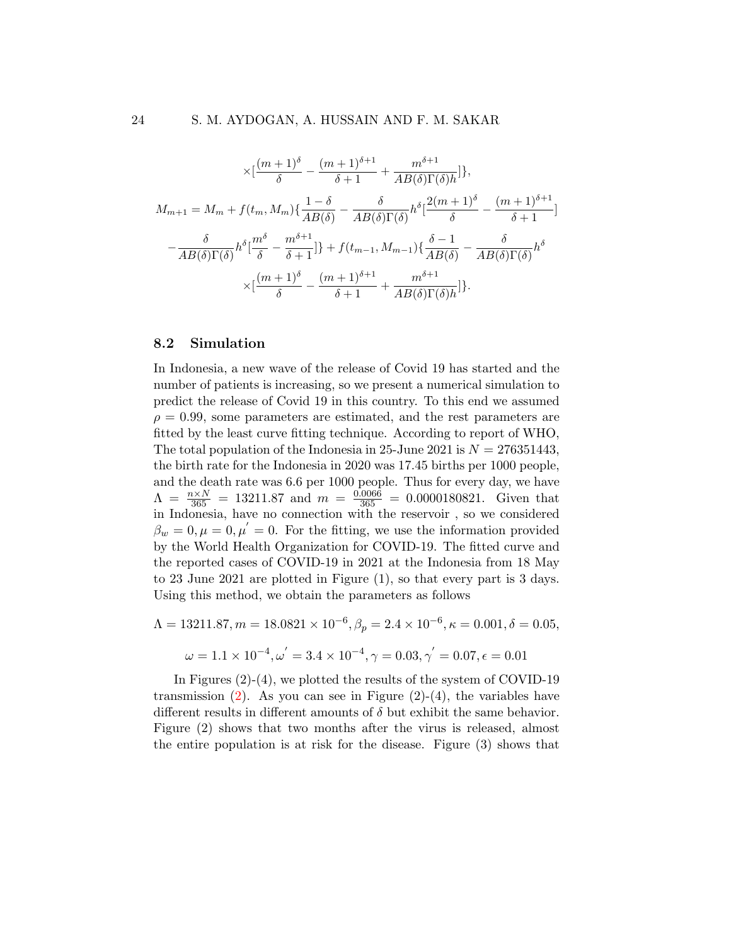$$
\times \left[\frac{(m+1)^{\delta}}{\delta} - \frac{(m+1)^{\delta+1}}{\delta+1} + \frac{m^{\delta+1}}{AB(\delta)\Gamma(\delta)h}\right],
$$
  

$$
M_{m+1} = M_m + f(t_m, M_m) \left\{ \frac{1-\delta}{AB(\delta)} - \frac{\delta}{AB(\delta)\Gamma(\delta)} h^{\delta} \left[ \frac{2(m+1)^{\delta}}{\delta} - \frac{(m+1)^{\delta+1}}{\delta+1} \right] - \frac{\delta}{AB(\delta)\Gamma(\delta)} h^{\delta} \left[ \frac{m^{\delta}}{\delta} - \frac{m^{\delta+1}}{\delta+1} \right] \right\} + f(t_{m-1}, M_{m-1}) \left\{ \frac{\delta-1}{AB(\delta)} - \frac{\delta}{AB(\delta)\Gamma(\delta)} h^{\delta} - \frac{(m+1)^{\delta}}{\delta} - \frac{(m+1)^{\delta+1}}{\delta+1} + \frac{m^{\delta+1}}{AB(\delta)\Gamma(\delta)h} \right\}.
$$

#### 8.2 Simulation

In Indonesia, a new wave of the release of Covid 19 has started and the number of patients is increasing, so we present a numerical simulation to predict the release of Covid 19 in this country. To this end we assumed  $\rho = 0.99$ , some parameters are estimated, and the rest parameters are fitted by the least curve fitting technique. According to report of WHO, The total population of the Indonesia in 25-June 2021 is  $N = 276351443$ , the birth rate for the Indonesia in 2020 was 17.45 births per 1000 people, and the death rate was 6.6 per 1000 people. Thus for every day, we have  $\Lambda = \frac{n \times N}{365} = 13211.87$  and  $m = \frac{0.0066}{365} = 0.0000180821$ . Given that in Indonesia, have no connection with the reservoir , so we considered  $\beta_w = 0, \mu = 0, \mu' = 0$ . For the fitting, we use the information provided by the World Health Organization for COVID-19. The fitted curve and the reported cases of COVID-19 in 2021 at the Indonesia from 18 May to 23 June 2021 are plotted in Figure (1), so that every part is 3 days. Using this method, we obtain the parameters as follows

$$
\Lambda = 13211.87, m = 18.0821 \times 10^{-6}, \beta_p = 2.4 \times 10^{-6}, \kappa = 0.001, \delta = 0.05,
$$
  

$$
\omega = 1.1 \times 10^{-4}, \omega' = 3.4 \times 10^{-4}, \gamma = 0.03, \gamma' = 0.07, \epsilon = 0.01
$$

In Figures (2)-(4), we plotted the results of the system of COVID-19 transmission  $(2)$ . As you can see in Figure  $(2)-(4)$ , the variables have different results in different amounts of  $\delta$  but exhibit the same behavior. Figure (2) shows that two months after the virus is released, almost the entire population is at risk for the disease. Figure (3) shows that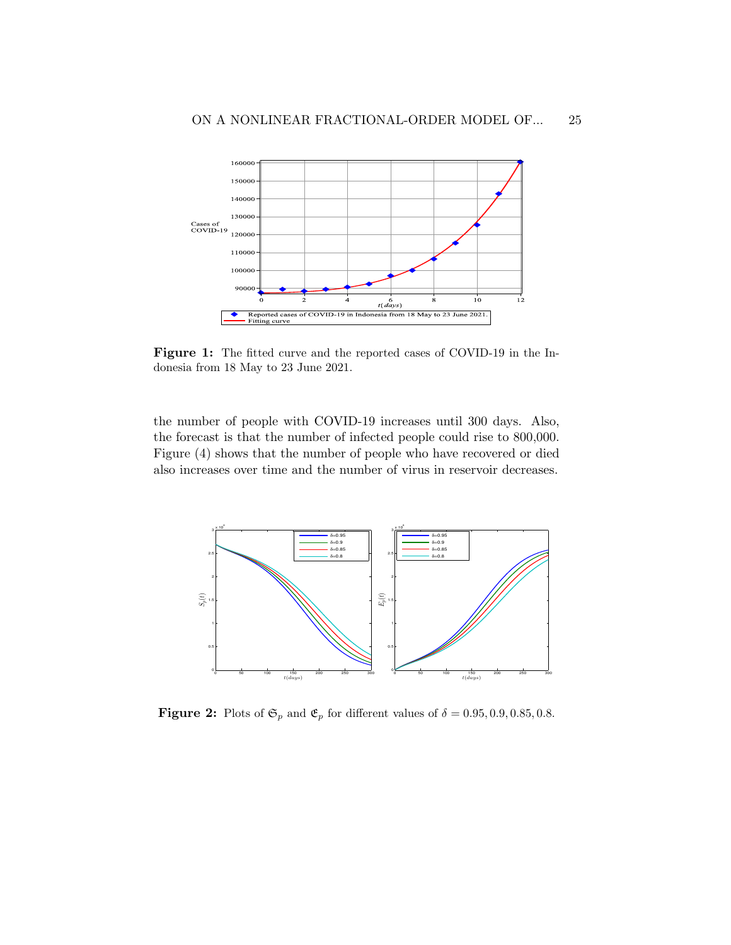

Figure 1: The fitted curve and the reported cases of COVID-19 in the Indonesia from 18 May to 23 June 2021.

the number of people with COVID-19 increases until 300 days. Also, the forecast is that the number of infected people could rise to 800,000. Figure (4) shows that the number of people who have recovered or died also increases over time and the number of virus in reservoir decreases.



**Figure 2:** Plots of  $\mathfrak{S}_p$  and  $\mathfrak{E}_p$  for different values of  $\delta = 0.95, 0.9, 0.85, 0.8$ .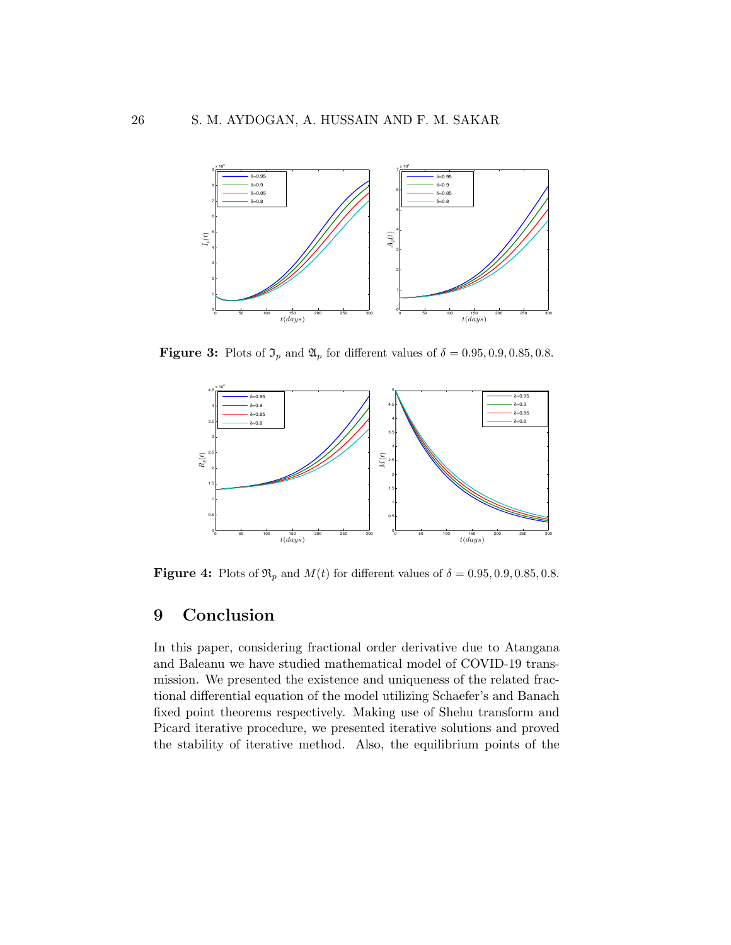

**Figure 3:** Plots of  $\mathfrak{I}_p$  and  $\mathfrak{A}_p$  for different values of  $\delta = 0.95, 0.9, 0.85, 0.8$ .



**Figure 4:** Plots of  $\mathfrak{R}_p$  and  $M(t)$  for different values of  $\delta = 0.95, 0.9, 0.85, 0.8$ .

## 9 Conclusion

In this paper, considering fractional order derivative due to Atangana and Baleanu we have studied mathematical model of COVID-19 transmission. We presented the existence and uniqueness of the related fractional differential equation of the model utilizing Schaefer's and Banach fixed point theorems respectively. Making use of Shehu transform and Picard iterative procedure, we presented iterative solutions and proved the stability of iterative method. Also, the equilibrium points of the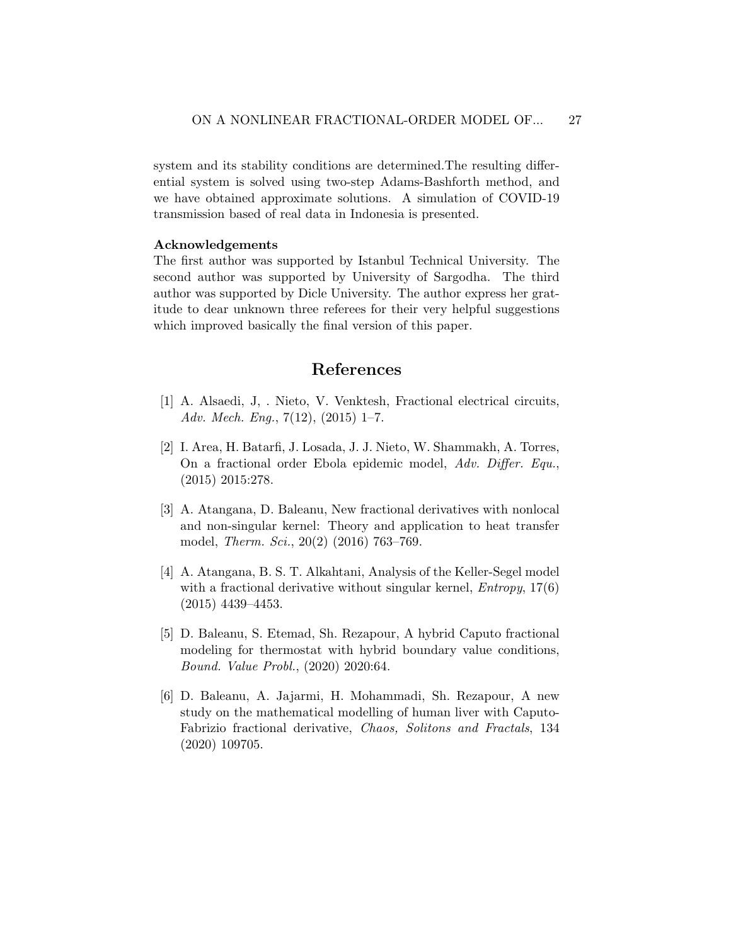system and its stability conditions are determined.The resulting differential system is solved using two-step Adams-Bashforth method, and we have obtained approximate solutions. A simulation of COVID-19 transmission based of real data in Indonesia is presented.

#### Acknowledgements

The first author was supported by Istanbul Technical University. The second author was supported by University of Sargodha. The third author was supported by Dicle University. The author express her gratitude to dear unknown three referees for their very helpful suggestions which improved basically the final version of this paper.

### References

- <span id="page-26-3"></span>[1] A. Alsaedi, J, . Nieto, V. Venktesh, Fractional electrical circuits, Adv. Mech. Eng.,  $7(12)$ ,  $(2015)$  1–7.
- <span id="page-26-0"></span>[2] I. Area, H. Batarfi, J. Losada, J. J. Nieto, W. Shammakh, A. Torres, On a fractional order Ebola epidemic model, Adv. Differ. Equ., (2015) 2015:278.
- <span id="page-26-4"></span>[3] A. Atangana, D. Baleanu, New fractional derivatives with nonlocal and non-singular kernel: Theory and application to heat transfer model, Therm. Sci., 20(2) (2016) 763–769.
- <span id="page-26-5"></span>[4] A. Atangana, B. S. T. Alkahtani, Analysis of the Keller-Segel model with a fractional derivative without singular kernel,  $Entropy, 17(6)$ (2015) 4439–4453.
- <span id="page-26-1"></span>[5] D. Baleanu, S. Etemad, Sh. Rezapour, A hybrid Caputo fractional modeling for thermostat with hybrid boundary value conditions, Bound. Value Probl., (2020) 2020:64.
- <span id="page-26-2"></span>[6] D. Baleanu, A. Jajarmi, H. Mohammadi, Sh. Rezapour, A new study on the mathematical modelling of human liver with Caputo-Fabrizio fractional derivative, Chaos, Solitons and Fractals, 134 (2020) 109705.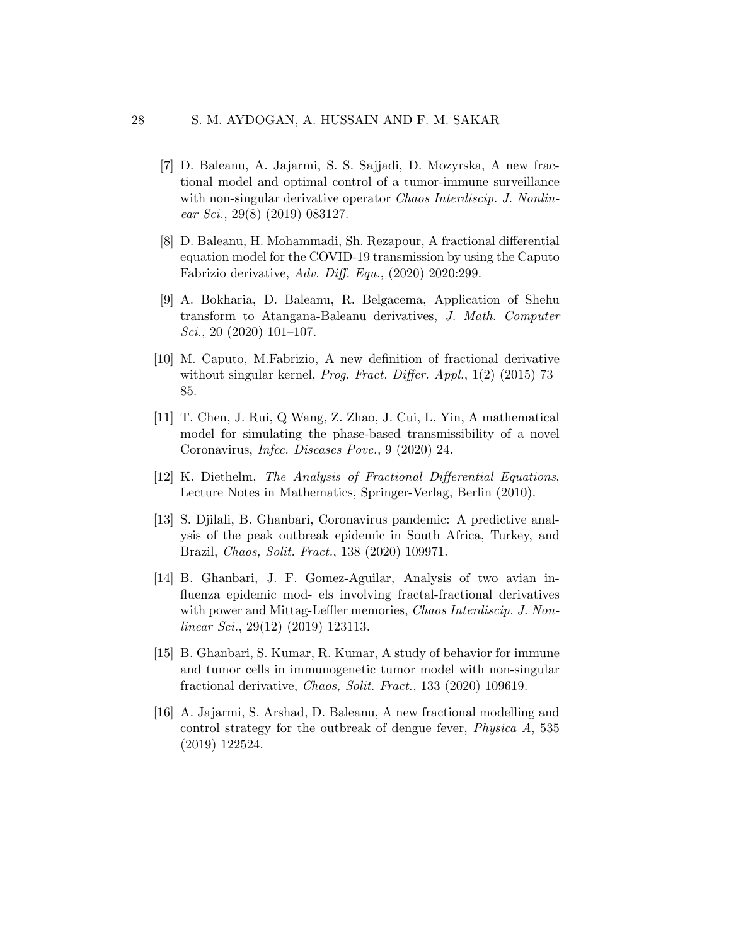- <span id="page-27-2"></span>[7] D. Baleanu, A. Jajarmi, S. S. Sajjadi, D. Mozyrska, A new fractional model and optimal control of a tumor-immune surveillance with non-singular derivative operator *Chaos Interdiscip. J. Nonlin*ear Sci., 29 $(8)$   $(2019)$  083127.
- <span id="page-27-6"></span>[8] D. Baleanu, H. Mohammadi, Sh. Rezapour, A fractional differential equation model for the COVID-19 transmission by using the Caputo Fabrizio derivative, Adv. Diff. Equ., (2020) 2020:299.
- <span id="page-27-8"></span>[9] A. Bokharia, D. Baleanu, R. Belgacema, Application of Shehu transform to Atangana-Baleanu derivatives, J. Math. Computer  $Sci., 20 (2020) 101-107.$
- <span id="page-27-1"></span>[10] M. Caputo, M.Fabrizio, A new definition of fractional derivative without singular kernel, Prog. Fract. Differ. Appl., 1(2) (2015) 73– 85.
- <span id="page-27-9"></span>[11] T. Chen, J. Rui, Q Wang, Z. Zhao, J. Cui, L. Yin, A mathematical model for simulating the phase-based transmissibility of a novel Coronavirus, Infec. Diseases Pove., 9 (2020) 24.
- <span id="page-27-0"></span>[12] K. Diethelm, The Analysis of Fractional Differential Equations, Lecture Notes in Mathematics, Springer-Verlag, Berlin (2010).
- <span id="page-27-7"></span>[13] S. Djilali, B. Ghanbari, Coronavirus pandemic: A predictive analysis of the peak outbreak epidemic in South Africa, Turkey, and Brazil, Chaos, Solit. Fract., 138 (2020) 109971.
- <span id="page-27-3"></span>[14] B. Ghanbari, J. F. Gomez-Aguilar, Analysis of two avian influenza epidemic mod- els involving fractal-fractional derivatives with power and Mittag-Leffler memories, *Chaos Interdiscip. J. Non*linear Sci., 29(12) (2019) 123113.
- <span id="page-27-4"></span>[15] B. Ghanbari, S. Kumar, R. Kumar, A study of behavior for immune and tumor cells in immunogenetic tumor model with non-singular fractional derivative, Chaos, Solit. Fract., 133 (2020) 109619.
- <span id="page-27-5"></span>[16] A. Jajarmi, S. Arshad, D. Baleanu, A new fractional modelling and control strategy for the outbreak of dengue fever, Physica A, 535 (2019) 122524.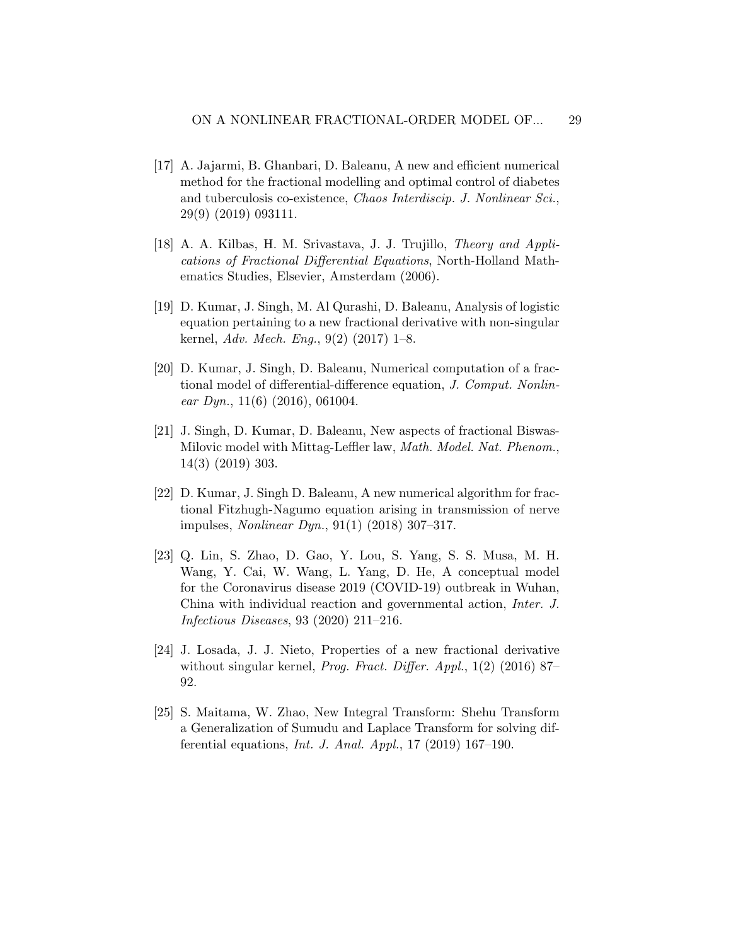- <span id="page-28-5"></span>[17] A. Jajarmi, B. Ghanbari, D. Baleanu, A new and efficient numerical method for the fractional modelling and optimal control of diabetes and tuberculosis co-existence, Chaos Interdiscip. J. Nonlinear Sci., 29(9) (2019) 093111.
- <span id="page-28-0"></span>[18] A. A. Kilbas, H. M. Srivastava, J. J. Trujillo, Theory and Applications of Fractional Differential Equations, North-Holland Mathematics Studies, Elsevier, Amsterdam (2006).
- <span id="page-28-2"></span>[19] D. Kumar, J. Singh, M. Al Qurashi, D. Baleanu, Analysis of logistic equation pertaining to a new fractional derivative with non-singular kernel, Adv. Mech. Eng.,  $9(2)$   $(2017)$  1–8.
- <span id="page-28-1"></span>[20] D. Kumar, J. Singh, D. Baleanu, Numerical computation of a fractional model of differential-difference equation, J. Comput. Nonlinear Dyn.,  $11(6)$  (2016), 061004.
- <span id="page-28-3"></span>[21] J. Singh, D. Kumar, D. Baleanu, New aspects of fractional Biswas-Milovic model with Mittag-Leffler law, Math. Model. Nat. Phenom., 14(3) (2019) 303.
- <span id="page-28-6"></span>[22] D. Kumar, J. Singh D. Baleanu, A new numerical algorithm for fractional Fitzhugh-Nagumo equation arising in transmission of nerve impulses, Nonlinear Dyn., 91(1) (2018) 307–317.
- <span id="page-28-7"></span>[23] Q. Lin, S. Zhao, D. Gao, Y. Lou, S. Yang, S. S. Musa, M. H. Wang, Y. Cai, W. Wang, L. Yang, D. He, A conceptual model for the Coronavirus disease 2019 (COVID-19) outbreak in Wuhan, China with individual reaction and governmental action, Inter. J. Infectious Diseases, 93 (2020) 211–216.
- <span id="page-28-4"></span>[24] J. Losada, J. J. Nieto, Properties of a new fractional derivative without singular kernel, *Prog. Fract. Differ. Appl.*, 1(2) (2016) 87– 92.
- <span id="page-28-8"></span>[25] S. Maitama, W. Zhao, New Integral Transform: Shehu Transform a Generalization of Sumudu and Laplace Transform for solving differential equations, Int. J. Anal. Appl., 17 (2019) 167–190.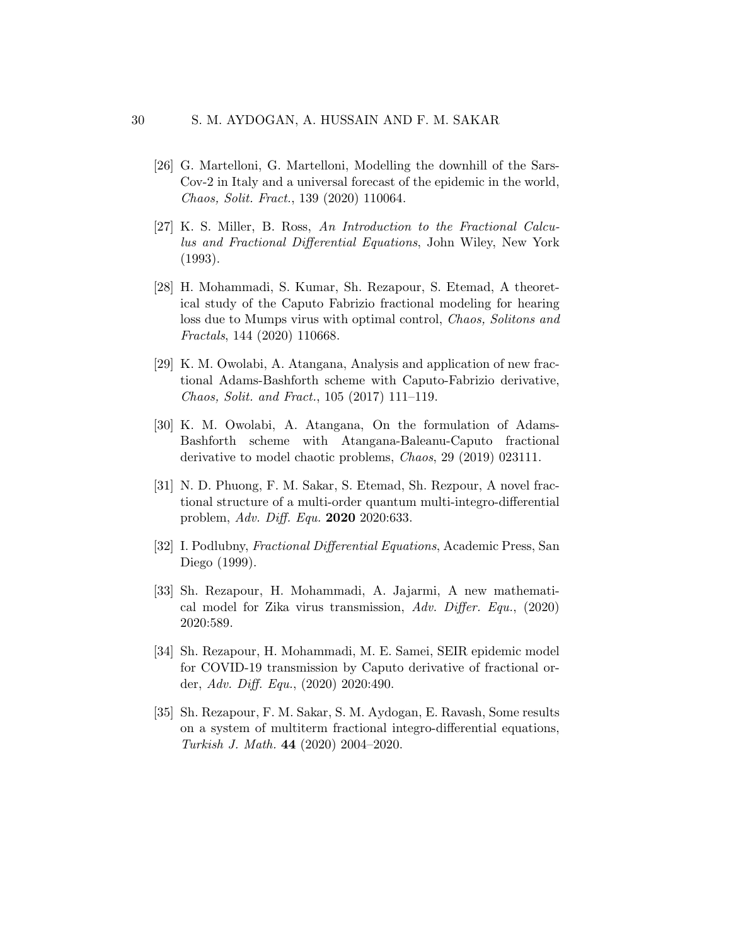- <span id="page-29-7"></span>[26] G. Martelloni, G. Martelloni, Modelling the downhill of the Sars-Cov-2 in Italy and a universal forecast of the epidemic in the world, Chaos, Solit. Fract., 139 (2020) 110064.
- <span id="page-29-0"></span>[27] K. S. Miller, B. Ross, An Introduction to the Fractional Calculus and Fractional Differential Equations, John Wiley, New York (1993).
- <span id="page-29-1"></span>[28] H. Mohammadi, S. Kumar, Sh. Rezapour, S. Etemad, A theoretical study of the Caputo Fabrizio fractional modeling for hearing loss due to Mumps virus with optimal control, Chaos, Solitons and Fractals, 144 (2020) 110668.
- <span id="page-29-5"></span>[29] K. M. Owolabi, A. Atangana, Analysis and application of new fractional Adams-Bashforth scheme with Caputo-Fabrizio derivative, Chaos, Solit. and Fract., 105 (2017) 111–119.
- <span id="page-29-9"></span>[30] K. M. Owolabi, A. Atangana, On the formulation of Adams-Bashforth scheme with Atangana-Baleanu-Caputo fractional derivative to model chaotic problems, Chaos, 29 (2019) 023111.
- <span id="page-29-6"></span>[31] N. D. Phuong, F. M. Sakar, S. Etemad, Sh. Rezpour, A novel fractional structure of a multi-order quantum multi-integro-differential problem, Adv. Diff. Equ. 2020 2020:633.
- <span id="page-29-2"></span>[32] I. Podlubny, Fractional Differential Equations, Academic Press, San Diego (1999).
- <span id="page-29-3"></span>[33] Sh. Rezapour, H. Mohammadi, A. Jajarmi, A new mathematical model for Zika virus transmission, Adv. Differ. Equ.,  $(2020)$ 2020:589.
- <span id="page-29-8"></span>[34] Sh. Rezapour, H. Mohammadi, M. E. Samei, SEIR epidemic model for COVID-19 transmission by Caputo derivative of fractional order, Adv. Diff. Equ., (2020) 2020:490.
- <span id="page-29-4"></span>[35] Sh. Rezapour, F. M. Sakar, S. M. Aydogan, E. Ravash, Some results on a system of multiterm fractional integro-differential equations, Turkish J. Math. 44 (2020) 2004–2020.